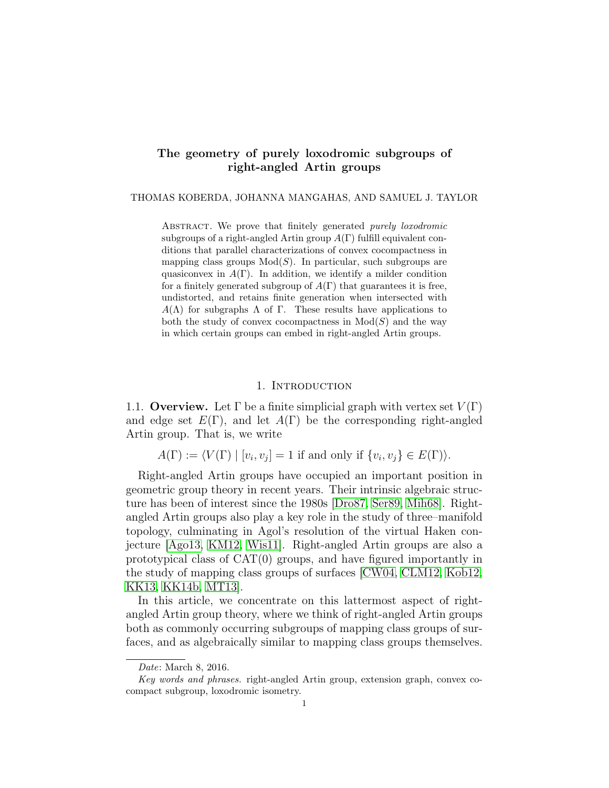# The geometry of purely loxodromic subgroups of right-angled Artin groups

THOMAS KOBERDA, JOHANNA MANGAHAS, AND SAMUEL J. TAYLOR

ABSTRACT. We prove that finitely generated purely loxodromic subgroups of a right-angled Artin group  $A(\Gamma)$  fulfill equivalent conditions that parallel characterizations of convex cocompactness in mapping class groups  $Mod(S)$ . In particular, such subgroups are quasiconvex in  $A(\Gamma)$ . In addition, we identify a milder condition for a finitely generated subgroup of  $A(\Gamma)$  that guarantees it is free, undistorted, and retains finite generation when intersected with  $A(\Lambda)$  for subgraphs  $\Lambda$  of  $\Gamma$ . These results have applications to both the study of convex cocompactness in  $Mod(S)$  and the way in which certain groups can embed in right-angled Artin groups.

#### 1. INTRODUCTION

1.1. Overview. Let  $\Gamma$  be a finite simplicial graph with vertex set  $V(\Gamma)$ and edge set  $E(\Gamma)$ , and let  $A(\Gamma)$  be the corresponding right-angled Artin group. That is, we write

 $A(\Gamma) := \langle V(\Gamma) | [v_i, v_j] = 1$  if and only if  $\{v_i, v_j\} \in E(\Gamma)$ .

Right-angled Artin groups have occupied an important position in geometric group theory in recent years. Their intrinsic algebraic structure has been of interest since the 1980s [\[Dro87,](#page-36-0) [Ser89,](#page-38-0) [Mih68\]](#page-37-0). Rightangled Artin groups also play a key role in the study of three–manifold topology, culminating in Agol's resolution of the virtual Haken conjecture [\[Ago13,](#page-36-1) [KM12,](#page-37-1) [Wis11\]](#page-38-1). Right-angled Artin groups are also a prototypical class of CAT(0) groups, and have figured importantly in the study of mapping class groups of surfaces [\[CW04,](#page-36-2) [CLM12,](#page-36-3) [Kob12,](#page-37-2) [KK13,](#page-37-3) [KK14b,](#page-37-4) [MT13\]](#page-38-2).

In this article, we concentrate on this lattermost aspect of rightangled Artin group theory, where we think of right-angled Artin groups both as commonly occurring subgroups of mapping class groups of surfaces, and as algebraically similar to mapping class groups themselves.

Date: March 8, 2016.

Key words and phrases. right-angled Artin group, extension graph, convex cocompact subgroup, loxodromic isometry.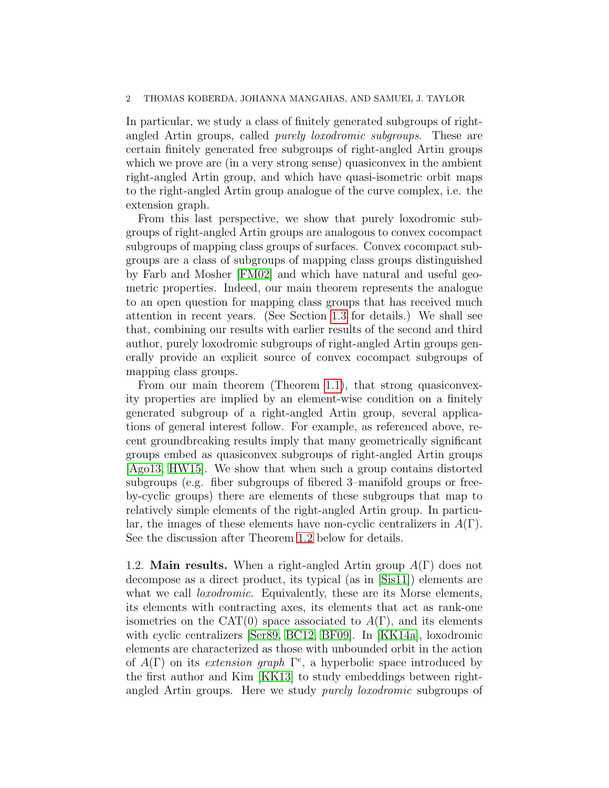In particular, we study a class of finitely generated subgroups of rightangled Artin groups, called purely loxodromic subgroups. These are certain finitely generated free subgroups of right-angled Artin groups which we prove are (in a very strong sense) quasiconvex in the ambient right-angled Artin group, and which have quasi-isometric orbit maps to the right-angled Artin group analogue of the curve complex, i.e. the extension graph.

From this last perspective, we show that purely loxodromic subgroups of right-angled Artin groups are analogous to convex cocompact subgroups of mapping class groups of surfaces. Convex cocompact subgroups are a class of subgroups of mapping class groups distinguished by Farb and Mosher [\[FM02\]](#page-37-5) and which have natural and useful geometric properties. Indeed, our main theorem represents the analogue to an open question for mapping class groups that has received much attention in recent years. (See Section [1.3](#page-3-0) for details.) We shall see that, combining our results with earlier results of the second and third author, purely loxodromic subgroups of right-angled Artin groups generally provide an explicit source of convex cocompact subgroups of mapping class groups.

From our main theorem (Theorem [1.1\)](#page-2-0), that strong quasiconvexity properties are implied by an element-wise condition on a finitely generated subgroup of a right-angled Artin group, several applications of general interest follow. For example, as referenced above, recent groundbreaking results imply that many geometrically significant groups embed as quasiconvex subgroups of right-angled Artin groups [\[Ago13,](#page-36-1) [HW15\]](#page-37-6). We show that when such a group contains distorted subgroups (e.g. fiber subgroups of fibered 3–manifold groups or freeby-cyclic groups) there are elements of these subgroups that map to relatively simple elements of the right-angled Artin group. In particular, the images of these elements have non-cyclic centralizers in  $A(\Gamma)$ . See the discussion after Theorem [1.2](#page-2-1) below for details.

1.2. **Main results.** When a right-angled Artin group  $A(\Gamma)$  does not decompose as a direct product, its typical (as in [\[Sis11\]](#page-38-3)) elements are what we call *loxodromic*. Equivalently, these are its Morse elements, its elements with contracting axes, its elements that act as rank-one isometries on the CAT(0) space associated to  $A(\Gamma)$ , and its elements with cyclic centralizers [\[Ser89,](#page-38-0) [BC12,](#page-36-4) [BF09\]](#page-36-5). In [\[KK14a\]](#page-37-7), loxodromic elements are characterized as those with unbounded orbit in the action of  $A(\Gamma)$  on its extension graph  $\Gamma^e$ , a hyperbolic space introduced by the first author and Kim [\[KK13\]](#page-37-3) to study embeddings between rightangled Artin groups. Here we study *purely loxodromic* subgroups of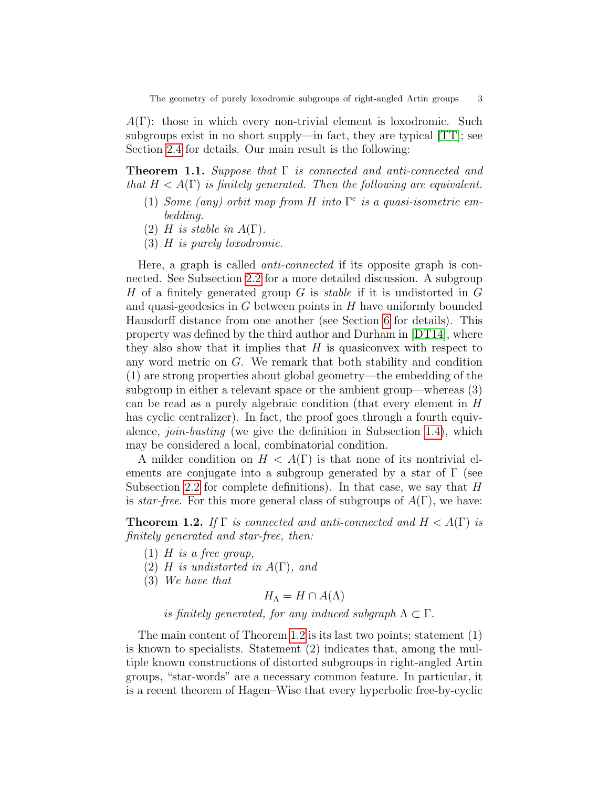$A(\Gamma)$ : those in which every non-trivial element is loxodromic. Such subgroups exist in no short supply—in fact, they are typical [\[TT\]](#page-38-4); see Section [2.4](#page-9-0) for details. Our main result is the following:

<span id="page-2-0"></span>**Theorem 1.1.** Suppose that  $\Gamma$  is connected and anti-connected and that  $H < A(\Gamma)$  is finitely generated. Then the following are equivalent.

- (1) Some (any) orbit map from H into  $\Gamma^e$  is a quasi-isometric embedding.
- (2) H is stable in  $A(\Gamma)$ .
- (3) H is purely loxodromic.

Here, a graph is called *anti-connected* if its opposite graph is connected. See Subsection [2.2](#page-6-0) for a more detailed discussion. A subgroup H of a finitely generated group  $G$  is *stable* if it is undistorted in  $G$ and quasi-geodesics in  $G$  between points in  $H$  have uniformly bounded Hausdorff distance from one another (see Section [6](#page-22-0) for details). This property was defined by the third author and Durham in [\[DT14\]](#page-37-8), where they also show that it implies that  $H$  is quasiconvex with respect to any word metric on G. We remark that both stability and condition (1) are strong properties about global geometry—the embedding of the subgroup in either a relevant space or the ambient group—whereas (3) can be read as a purely algebraic condition (that every element in H has cyclic centralizer). In fact, the proof goes through a fourth equivalence, join-busting (we give the definition in Subsection [1.4\)](#page-4-0), which may be considered a local, combinatorial condition.

A milder condition on  $H < A(\Gamma)$  is that none of its nontrivial elements are conjugate into a subgroup generated by a star of  $\Gamma$  (see Subsection [2.2](#page-6-0) for complete definitions). In that case, we say that  $H$ is star-free. For this more general class of subgroups of  $A(\Gamma)$ , we have:

<span id="page-2-1"></span>**Theorem 1.2.** If  $\Gamma$  is connected and anti-connected and  $H < A(\Gamma)$  is finitely generated and star-free, then:

- (1)  $H$  is a free group,
- (2) H is undistorted in  $A(\Gamma)$ , and
- (3) We have that

 $H_{\Lambda} = H \cap A(\Lambda)$ 

is finitely generated, for any induced subgraph  $\Lambda \subset \Gamma$ .

The main content of Theorem [1.2](#page-2-1) is its last two points; statement (1) is known to specialists. Statement (2) indicates that, among the multiple known constructions of distorted subgroups in right-angled Artin groups, "star-words" are a necessary common feature. In particular, it is a recent theorem of Hagen–Wise that every hyperbolic free-by-cyclic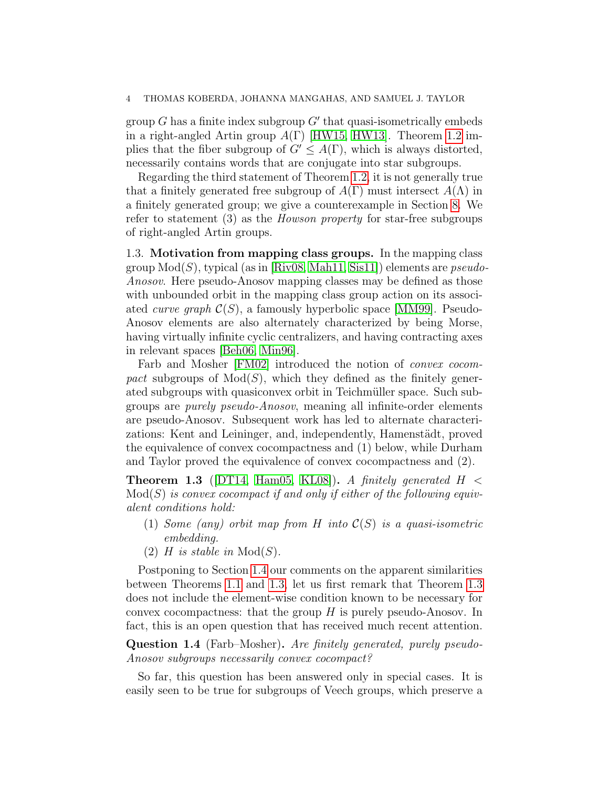group  $G$  has a finite index subgroup  $G'$  that quasi-isometrically embeds in a right-angled Artin group  $A(\Gamma)$  [\[HW15,](#page-37-6) [HW13\]](#page-37-9). Theorem [1.2](#page-2-1) implies that the fiber subgroup of  $G' \leq A(\Gamma)$ , which is always distorted, necessarily contains words that are conjugate into star subgroups.

Regarding the third statement of Theorem [1.2,](#page-2-1) it is not generally true that a finitely generated free subgroup of  $A(\Gamma)$  must intersect  $A(\Lambda)$  in a finitely generated group; we give a counterexample in Section [8.](#page-26-0) We refer to statement (3) as the *Howson property* for star-free subgroups of right-angled Artin groups.

<span id="page-3-0"></span>1.3. Motivation from mapping class groups. In the mapping class group  $Mod(S)$ , typical (as in [\[Riv08,](#page-38-5) [Mah11,](#page-37-10) [Sis11\]](#page-38-3)) elements are *pseudo-*Anosov. Here pseudo-Anosov mapping classes may be defined as those with unbounded orbit in the mapping class group action on its associated *curve graph*  $\mathcal{C}(S)$ , a famously hyperbolic space [\[MM99\]](#page-38-6). Pseudo-Anosov elements are also alternately characterized by being Morse, having virtually infinite cyclic centralizers, and having contracting axes in relevant spaces [\[Beh06,](#page-36-6) [Min96\]](#page-37-11).

Farb and Mosher [\[FM02\]](#page-37-5) introduced the notion of *convex cocom*pact subgroups of  $Mod(S)$ , which they defined as the finitely generated subgroups with quasiconvex orbit in Teichmüller space. Such subgroups are purely pseudo-Anosov, meaning all infinite-order elements are pseudo-Anosov. Subsequent work has led to alternate characterizations: Kent and Leininger, and, independently, Hamenstädt, proved the equivalence of convex cocompactness and (1) below, while Durham and Taylor proved the equivalence of convex cocompactness and (2).

<span id="page-3-1"></span>**Theorem 1.3** (DT14, [Ham05,](#page-37-12) KL08). A finitely generated  $H <$  $Mod(S)$  is convex cocompact if and only if either of the following equivalent conditions hold:

- (1) Some (any) orbit map from H into  $\mathcal{C}(S)$  is a quasi-isometric embedding.
- (2) H is stable in  $Mod(S)$ .

Postponing to Section [1.4](#page-4-0) our comments on the apparent similarities between Theorems [1.1](#page-2-0) and [1.3,](#page-3-1) let us first remark that Theorem [1.3](#page-3-1) does not include the element-wise condition known to be necessary for convex cocompactness: that the group  $H$  is purely pseudo-Anosov. In fact, this is an open question that has received much recent attention.

<span id="page-3-2"></span>Question 1.4 (Farb–Mosher). Are finitely generated, purely pseudo-Anosov subgroups necessarily convex cocompact?

So far, this question has been answered only in special cases. It is easily seen to be true for subgroups of Veech groups, which preserve a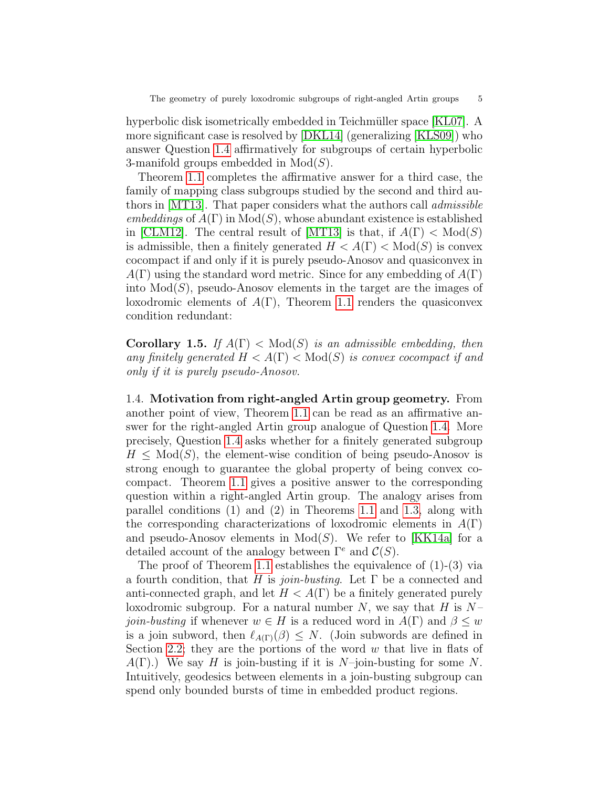hyperbolic disk isometrically embedded in Teichmüller space [\[KL07\]](#page-37-14). A more significant case is resolved by [\[DKL14\]](#page-36-7) (generalizing [\[KLS09\]](#page-37-15)) who answer Question [1.4](#page-3-2) affirmatively for subgroups of certain hyperbolic 3-manifold groups embedded in  $Mod(S)$ .

Theorem [1.1](#page-2-0) completes the affirmative answer for a third case, the family of mapping class subgroups studied by the second and third authors in [\[MT13\]](#page-38-2). That paper considers what the authors call admissible embeddings of  $A(\Gamma)$  in  $Mod(S)$ , whose abundant existence is established in [\[CLM12\]](#page-36-3). The central result of [\[MT13\]](#page-38-2) is that, if  $A(\Gamma) < Mod(S)$ is admissible, then a finitely generated  $H < A(\Gamma) < Mod(S)$  is convex cocompact if and only if it is purely pseudo-Anosov and quasiconvex in  $A(\Gamma)$  using the standard word metric. Since for any embedding of  $A(\Gamma)$ into  $Mod(S)$ , pseudo-Anosov elements in the target are the images of loxodromic elements of  $A(\Gamma)$ , Theorem [1.1](#page-2-0) renders the quasiconvex condition redundant:

**Corollary 1.5.** If  $A(\Gamma) < Mod(S)$  is an admissible embedding, then any finitely generated  $H < A(\Gamma) < Mod(S)$  is convex cocompact if and only if it is purely pseudo-Anosov.

<span id="page-4-0"></span>1.4. Motivation from right-angled Artin group geometry. From another point of view, Theorem [1.1](#page-2-0) can be read as an affirmative answer for the right-angled Artin group analogue of Question [1.4.](#page-3-2) More precisely, Question [1.4](#page-3-2) asks whether for a finitely generated subgroup  $H \leq \text{Mod}(S)$ , the element-wise condition of being pseudo-Anosov is strong enough to guarantee the global property of being convex cocompact. Theorem [1.1](#page-2-0) gives a positive answer to the corresponding question within a right-angled Artin group. The analogy arises from parallel conditions (1) and (2) in Theorems [1.1](#page-2-0) and [1.3,](#page-3-1) along with the corresponding characterizations of loxodromic elements in  $A(\Gamma)$ and pseudo-Anosov elements in  $Mod(S)$ . We refer to [\[KK14a\]](#page-37-7) for a detailed account of the analogy between  $\Gamma^e$  and  $\mathcal{C}(S)$ .

The proof of Theorem [1.1](#page-2-0) establishes the equivalence of (1)-(3) via a fourth condition, that H is join-busting. Let  $\Gamma$  be a connected and anti-connected graph, and let  $H < A(\Gamma)$  be a finitely generated purely loxodromic subgroup. For a natural number N, we say that H is  $N$ *join-busting* if whenever  $w \in H$  is a reduced word in  $A(\Gamma)$  and  $\beta \leq w$ is a join subword, then  $\ell_{A(\Gamma)}(\beta) \leq N$ . (Join subwords are defined in Section [2.2;](#page-6-0) they are the portions of the word  $w$  that live in flats of  $A(\Gamma)$ .) We say H is join-busting if it is N–join-busting for some N. Intuitively, geodesics between elements in a join-busting subgroup can spend only bounded bursts of time in embedded product regions.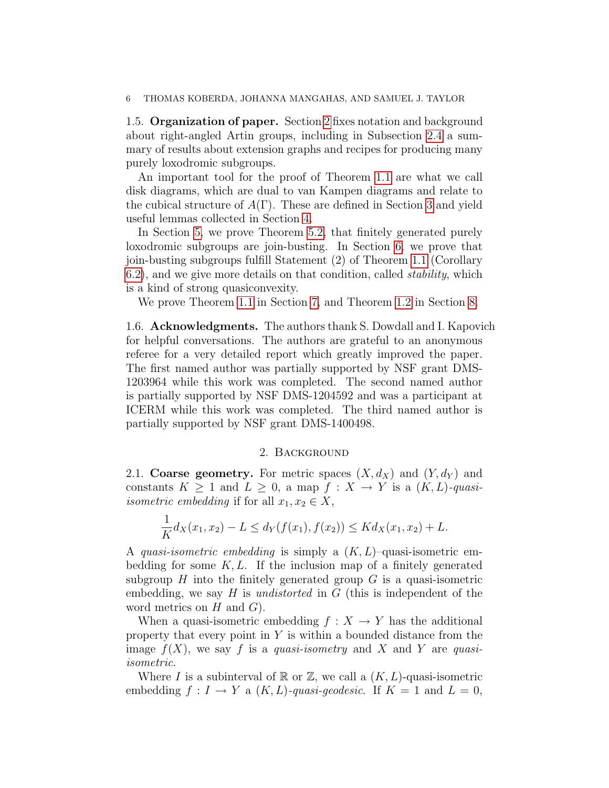1.5. Organization of paper. Section [2](#page-5-0) fixes notation and background about right-angled Artin groups, including in Subsection [2.4](#page-9-0) a summary of results about extension graphs and recipes for producing many purely loxodromic subgroups.

An important tool for the proof of Theorem [1.1](#page-2-0) are what we call disk diagrams, which are dual to van Kampen diagrams and relate to the cubical structure of  $A(\Gamma)$ . These are defined in Section [3](#page-11-0) and yield useful lemmas collected in Section [4.](#page-17-0)

In Section [5,](#page-19-0) we prove Theorem [5.2,](#page-20-0) that finitely generated purely loxodromic subgroups are join-busting. In Section [6,](#page-22-0) we prove that join-busting subgroups fulfill Statement (2) of Theorem [1.1](#page-2-0) (Corollary [6.2\)](#page-25-0), and we give more details on that condition, called stability, which is a kind of strong quasiconvexity.

We prove Theorem [1.1](#page-2-0) in Section [7,](#page-26-1) and Theorem [1.2](#page-2-1) in Section [8.](#page-26-0)

1.6. Acknowledgments. The authors thank S. Dowdall and I. Kapovich for helpful conversations. The authors are grateful to an anonymous referee for a very detailed report which greatly improved the paper. The first named author was partially supported by NSF grant DMS-1203964 while this work was completed. The second named author is partially supported by NSF DMS-1204592 and was a participant at ICERM while this work was completed. The third named author is partially supported by NSF grant DMS-1400498.

## 2. Background

<span id="page-5-0"></span>2.1. Coarse geometry. For metric spaces  $(X, d_X)$  and  $(Y, d_Y)$  and constants  $K \geq 1$  and  $L \geq 0$ , a map  $f : X \to Y$  is a  $(K, L)$ -quasiisometric embedding if for all  $x_1, x_2 \in X$ ,

$$
\frac{1}{K}d_X(x_1,x_2) - L \le d_Y(f(x_1),f(x_2)) \le Kd_X(x_1,x_2) + L.
$$

A quasi-isometric embedding is simply a  $(K, L)$ -quasi-isometric embedding for some  $K, L$ . If the inclusion map of a finitely generated subgroup  $H$  into the finitely generated group  $G$  is a quasi-isometric embedding, we say  $H$  is *undistorted* in  $G$  (this is independent of the word metrics on  $H$  and  $G$ ).

When a quasi-isometric embedding  $f: X \to Y$  has the additional property that every point in  $Y$  is within a bounded distance from the image  $f(X)$ , we say f is a quasi-isometry and X and Y are quasiisometric.

Where I is a subinterval of  $\mathbb R$  or  $\mathbb Z$ , we call a  $(K, L)$ -quasi-isometric embedding  $f: I \to Y$  a  $(K, L)$ -quasi-qeodesic. If  $K = 1$  and  $L = 0$ ,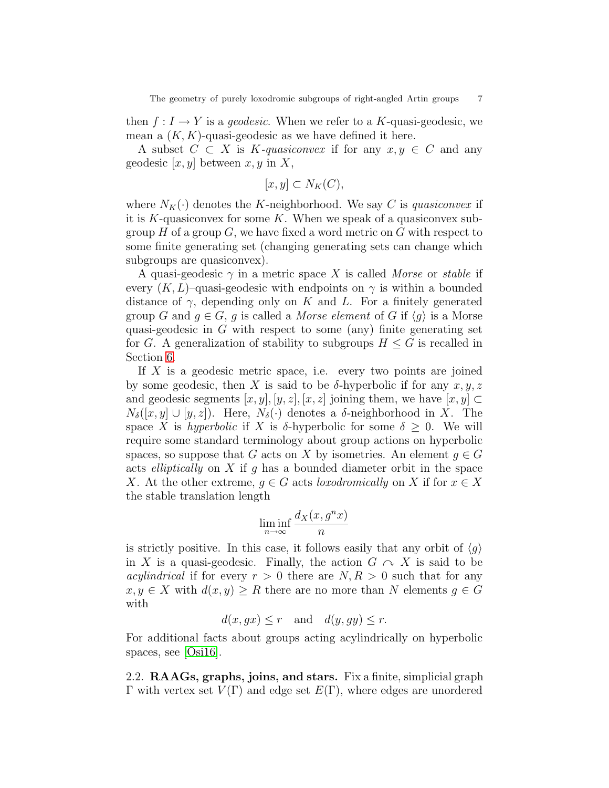then  $f: I \to Y$  is a *geodesic*. When we refer to a K-quasi-geodesic, we mean a  $(K, K)$ -quasi-geodesic as we have defined it here.

A subset  $C \subset X$  is K-quasiconvex if for any  $x, y \in C$  and any geodesic  $[x, y]$  between  $x, y$  in X,

$$
[x, y] \subset N_K(C),
$$

where  $N_K(\cdot)$  denotes the K-neighborhood. We say C is quasiconvex if it is  $K$ -quasiconvex for some  $K$ . When we speak of a quasiconvex subgroup H of a group  $G$ , we have fixed a word metric on G with respect to some finite generating set (changing generating sets can change which subgroups are quasiconvex).

A quasi-geodesic  $\gamma$  in a metric space X is called Morse or stable if every  $(K, L)$ –quasi-geodesic with endpoints on  $\gamma$  is within a bounded distance of  $\gamma$ , depending only on K and L. For a finitely generated group G and  $g \in G$ , g is called a Morse element of G if  $\langle g \rangle$  is a Morse quasi-geodesic in  $G$  with respect to some (any) finite generating set for G. A generalization of stability to subgroups  $H \leq G$  is recalled in Section [6.](#page-22-0)

If  $X$  is a geodesic metric space, i.e. every two points are joined by some geodesic, then X is said to be  $\delta$ -hyperbolic if for any  $x, y, z$ and geodesic segments  $[x, y], [y, z], [x, z]$  joining them, we have  $[x, y] \subset$  $N_{\delta}([x, y] \cup [y, z])$ . Here,  $N_{\delta}(\cdot)$  denotes a  $\delta$ -neighborhood in X. The space X is hyperbolic if X is  $\delta$ -hyperbolic for some  $\delta \geq 0$ . We will require some standard terminology about group actions on hyperbolic spaces, so suppose that G acts on X by isometries. An element  $g \in G$ acts *elliptically* on  $X$  if  $g$  has a bounded diameter orbit in the space X. At the other extreme,  $q \in G$  acts loxodromically on X if for  $x \in X$ the stable translation length

$$
\liminf_{n \to \infty} \frac{d_X(x, g^n x)}{n}
$$

is strictly positive. In this case, it follows easily that any orbit of  $\langle q \rangle$ in X is a quasi-geodesic. Finally, the action  $G \curvearrowright X$  is said to be *acylindrical* if for every  $r > 0$  there are  $N, R > 0$  such that for any  $x, y \in X$  with  $d(x, y) \geq R$  there are no more than N elements  $g \in G$ with

$$
d(x, gx) \leq r
$$
 and  $d(y, gy) \leq r$ .

For additional facts about groups acting acylindrically on hyperbolic spaces, see [\[Osi16\]](#page-38-7).

<span id="page-6-0"></span>2.2. RAAGs, graphs, joins, and stars. Fix a finite, simplicial graph Γ with vertex set  $V(Γ)$  and edge set  $E(Γ)$ , where edges are unordered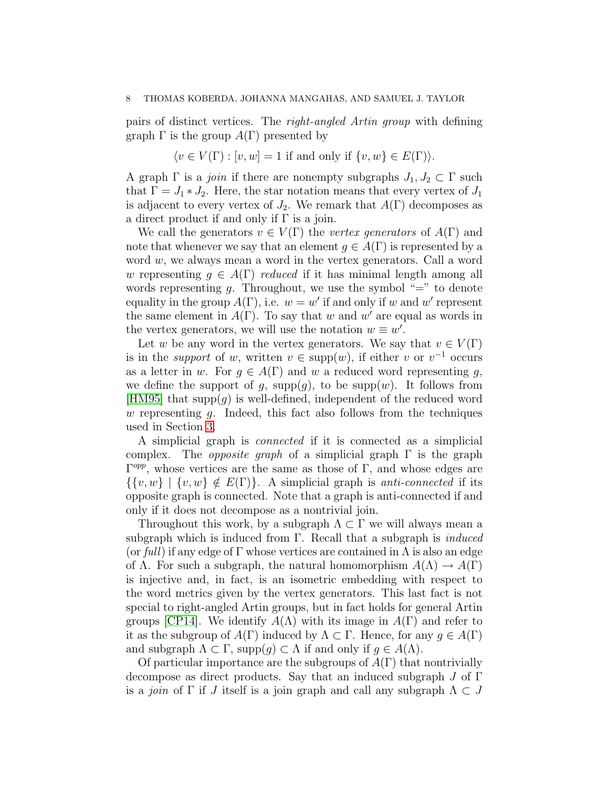pairs of distinct vertices. The right-angled Artin group with defining graph  $\Gamma$  is the group  $A(\Gamma)$  presented by

 $\langle v \in V(\Gamma) : [v, w] = 1$  if and only if  $\{v, w\} \in E(\Gamma)$ .

A graph  $\Gamma$  is a *join* if there are nonempty subgraphs  $J_1, J_2 \subset \Gamma$  such that  $\Gamma = J_1 * J_2$ . Here, the star notation means that every vertex of  $J_1$ is adjacent to every vertex of  $J_2$ . We remark that  $A(\Gamma)$  decomposes as a direct product if and only if  $\Gamma$  is a join.

We call the generators  $v \in V(\Gamma)$  the vertex generators of  $A(\Gamma)$  and note that whenever we say that an element  $q \in A(\Gamma)$  is represented by a word  $w$ , we always mean a word in the vertex generators. Call a word w representing  $q \in A(\Gamma)$  reduced if it has minimal length among all words representing g. Throughout, we use the symbol "=" to denote equality in the group  $A(\Gamma)$ , i.e.  $w = w'$  if and only if w and w' represent the same element in  $A(\Gamma)$ . To say that w and w' are equal as words in the vertex generators, we will use the notation  $w \equiv w'$ .

Let w be any word in the vertex generators. We say that  $v \in V(\Gamma)$ is in the *support* of w, written  $v \in \text{supp}(w)$ , if either v or  $v^{-1}$  occurs as a letter in w. For  $g \in A(\Gamma)$  and w a reduced word representing g, we define the support of q,  $supp(q)$ , to be  $supp(w)$ . It follows from [\[HM95\]](#page-37-16) that  $\text{supp}(q)$  is well-defined, independent of the reduced word w representing  $g$ . Indeed, this fact also follows from the techniques used in Section [3.](#page-11-0)

A simplicial graph is connected if it is connected as a simplicial complex. The *opposite qraph* of a simplicial graph  $\Gamma$  is the graph  $\Gamma^{opp}$ , whose vertices are the same as those of  $\Gamma$ , and whose edges are  $\{\{v, w\} \mid \{v, w\} \notin E(\Gamma)\}\$ . A simplicial graph is anti-connected if its opposite graph is connected. Note that a graph is anti-connected if and only if it does not decompose as a nontrivial join.

Throughout this work, by a subgraph  $\Lambda \subset \Gamma$  we will always mean a subgraph which is induced from  $\Gamma$ . Recall that a subgraph is *induced* (or full) if any edge of  $\Gamma$  whose vertices are contained in  $\Lambda$  is also an edge of  $\Lambda$ . For such a subgraph, the natural homomorphism  $A(\Lambda) \to A(\Gamma)$ is injective and, in fact, is an isometric embedding with respect to the word metrics given by the vertex generators. This last fact is not special to right-angled Artin groups, but in fact holds for general Artin groups [\[CP14\]](#page-36-8). We identify  $A(\Lambda)$  with its image in  $A(\Gamma)$  and refer to it as the subgroup of  $A(\Gamma)$  induced by  $\Lambda \subset \Gamma$ . Hence, for any  $g \in A(\Gamma)$ and subgraph  $\Lambda \subset \Gamma$ , supp $(g) \subset \Lambda$  if and only if  $g \in A(\Lambda)$ .

Of particular importance are the subgroups of  $A(\Gamma)$  that nontrivially decompose as direct products. Say that an induced subgraph J of Γ is a join of Γ if J itself is a join graph and call any subgraph  $\Lambda \subset J$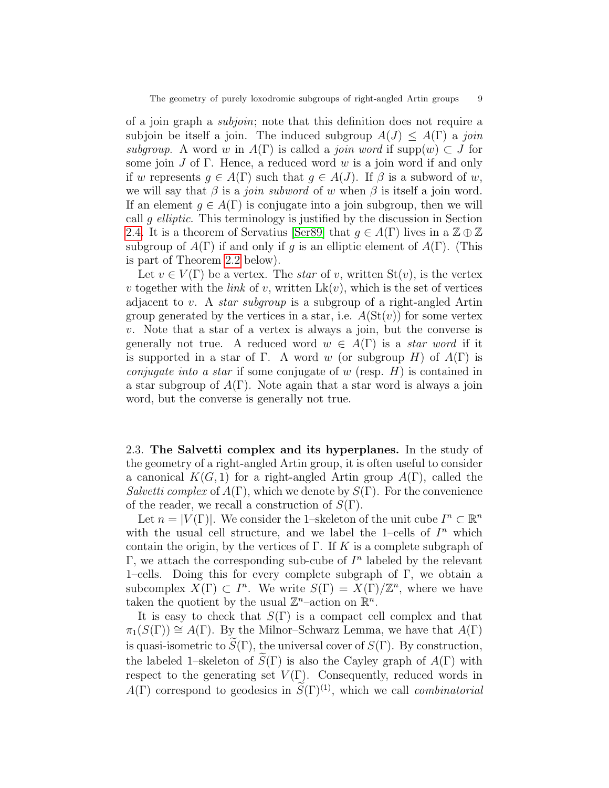of a join graph a subjoin; note that this definition does not require a subjoin be itself a join. The induced subgroup  $A(J) \leq A(\Gamma)$  a join subgroup. A word w in  $A(\Gamma)$  is called a *join word* if supp $(w) \subset J$  for some join  $J$  of  $\Gamma$ . Hence, a reduced word  $w$  is a join word if and only if w represents  $q \in A(\Gamma)$  such that  $q \in A(J)$ . If  $\beta$  is a subword of w, we will say that  $\beta$  is a *join subword* of w when  $\beta$  is itself a join word. If an element  $g \in A(\Gamma)$  is conjugate into a join subgroup, then we will call g elliptic. This terminology is justified by the discussion in Section [2.4.](#page-9-0) It is a theorem of Servatius [\[Ser89\]](#page-38-0) that  $q \in A(\Gamma)$  lives in a  $\mathbb{Z} \oplus \mathbb{Z}$ subgroup of  $A(\Gamma)$  if and only if q is an elliptic element of  $A(\Gamma)$ . (This is part of Theorem [2.2](#page-10-0) below).

Let  $v \in V(\Gamma)$  be a vertex. The *star* of v, written  $St(v)$ , is the vertex v together with the *link* of v, written  $Lk(v)$ , which is the set of vertices adjacent to v. A *star subgroup* is a subgroup of a right-angled Artin group generated by the vertices in a star, i.e.  $A(\text{St}(v))$  for some vertex  $v$ . Note that a star of a vertex is always a join, but the converse is generally not true. A reduced word  $w \in A(\Gamma)$  is a *star word* if it is supported in a star of Γ. A word w (or subgroup H) of  $A(\Gamma)$  is *conjugate into a star* if some conjugate of w (resp.  $H$ ) is contained in a star subgroup of  $A(\Gamma)$ . Note again that a star word is always a join word, but the converse is generally not true.

2.3. The Salvetti complex and its hyperplanes. In the study of the geometry of a right-angled Artin group, it is often useful to consider a canonical  $K(G, 1)$  for a right-angled Artin group  $A(\Gamma)$ , called the Salvetti complex of  $A(\Gamma)$ , which we denote by  $S(\Gamma)$ . For the convenience of the reader, we recall a construction of  $S(\Gamma)$ .

Let  $n = |V(\Gamma)|$ . We consider the 1-skeleton of the unit cube  $I^n \subset \mathbb{R}^n$ with the usual cell structure, and we label the 1-cells of  $I<sup>n</sup>$  which contain the origin, by the vertices of  $\Gamma$ . If K is a complete subgraph of  $\Gamma$ , we attach the corresponding sub-cube of  $I<sup>n</sup>$  labeled by the relevant 1–cells. Doing this for every complete subgraph of  $\Gamma$ , we obtain a subcomplex  $X(\Gamma) \subset I^n$ . We write  $S(\Gamma) = X(\Gamma)/\mathbb{Z}^n$ , where we have taken the quotient by the usual  $\mathbb{Z}^n$ -action on  $\mathbb{R}^n$ .

It is easy to check that  $S(\Gamma)$  is a compact cell complex and that  $\pi_1(S(\Gamma)) \cong A(\Gamma)$ . By the Milnor–Schwarz Lemma, we have that  $A(\Gamma)$ is quasi-isometric to  $S(\Gamma)$ , the universal cover of  $S(\Gamma)$ . By construction, the labeled 1–skeleton of  $\widetilde{S}(\Gamma)$  is also the Cayley graph of  $A(\Gamma)$  with respect to the generating set  $V(\Gamma)$ . Consequently, reduced words in  $A(\Gamma)$  correspond to geodesics in  $\widetilde{S}(\Gamma)^{(1)}$ , which we call *combinatorial*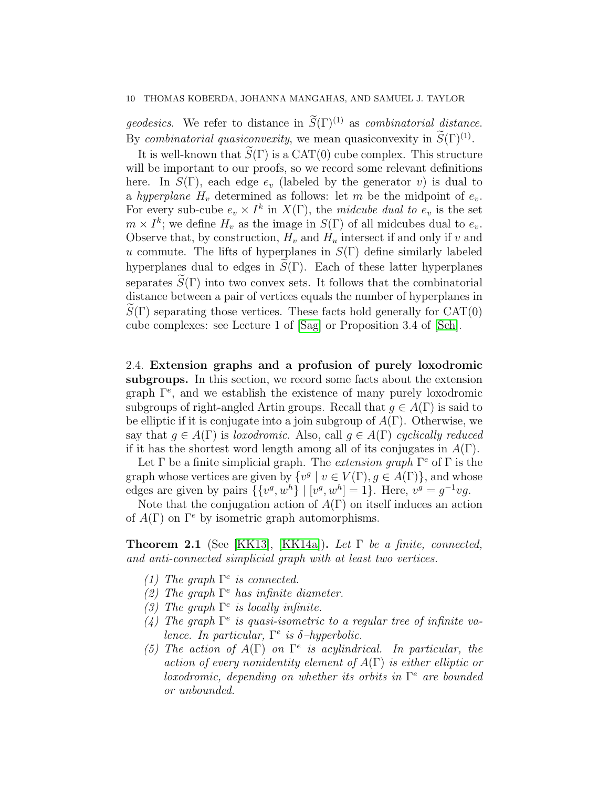*geodesics.* We refer to distance in  $\widetilde{S}(\Gamma)^{(1)}$  as *combinatorial distance*. By combinatorial quasiconvexity, we mean quasiconvexity in  $S(\Gamma)^{(1)}$ .

It is well-known that  $\hat{S}(\Gamma)$  is a CAT(0) cube complex. This structure will be important to our proofs, so we record some relevant definitions here. In  $S(\Gamma)$ , each edge  $e_v$  (labeled by the generator v) is dual to a hyperplane  $H_v$  determined as follows: let m be the midpoint of  $e_v$ . For every sub-cube  $e_v \times I^k$  in  $X(\Gamma)$ , the midcube dual to  $e_v$  is the set  $m \times I^k$ ; we define  $H_v$  as the image in  $S(\Gamma)$  of all midcubes dual to  $e_v$ . Observe that, by construction,  $H_v$  and  $H_u$  intersect if and only if v and u commute. The lifts of hyperplanes in  $S(\Gamma)$  define similarly labeled hyperplanes dual to edges in  $S(\Gamma)$ . Each of these latter hyperplanes separates  $\widetilde{S}(\Gamma)$  into two convex sets. It follows that the combinatorial distance between a pair of vertices equals the number of hyperplanes in  $S(\Gamma)$  separating those vertices. These facts hold generally for  $CAT(0)$ cube complexes: see Lecture 1 of [\[Sag\]](#page-38-8) or Proposition 3.4 of [\[Sch\]](#page-38-9).

<span id="page-9-0"></span>2.4. Extension graphs and a profusion of purely loxodromic subgroups. In this section, we record some facts about the extension graph Γ<sup>e</sup> , and we establish the existence of many purely loxodromic subgroups of right-angled Artin groups. Recall that  $q \in A(\Gamma)$  is said to be elliptic if it is conjugate into a join subgroup of  $A(\Gamma)$ . Otherwise, we say that  $q \in A(\Gamma)$  is *loxodromic*. Also, call  $q \in A(\Gamma)$  cyclically reduced if it has the shortest word length among all of its conjugates in  $A(\Gamma)$ .

Let  $\Gamma$  be a finite simplicial graph. The *extension graph*  $\Gamma^e$  of  $\Gamma$  is the graph whose vertices are given by  $\{v^g \mid v \in V(\Gamma), g \in A(\Gamma)\}\$ , and whose edges are given by pairs  $\{ \{v^g, w^h\} \mid [v^g, w^h] = 1 \}$ . Here,  $v^g = g^{-1}vg$ .

Note that the conjugation action of  $A(\Gamma)$  on itself induces an action of  $A(\Gamma)$  on  $\Gamma^e$  by isometric graph automorphisms.

<span id="page-9-1"></span>**Theorem 2.1** (See [\[KK13\]](#page-37-3), [\[KK14a\]](#page-37-7)). Let  $\Gamma$  be a finite, connected, and anti-connected simplicial graph with at least two vertices.

- (1) The graph  $\Gamma^e$  is connected.
- (2) The graph  $\Gamma^e$  has infinite diameter.
- (3) The graph  $\Gamma^e$  is locally infinite.
- (4) The graph  $\Gamma^e$  is quasi-isometric to a regular tree of infinite valence. In particular,  $\Gamma^e$  is  $\delta$ -hyperbolic.
- (5) The action of  $A(\Gamma)$  on  $\Gamma^e$  is acylindrical. In particular, the action of every nonidentity element of  $A(\Gamma)$  is either elliptic or loxodromic, depending on whether its orbits in  $\Gamma^e$  are bounded or unbounded.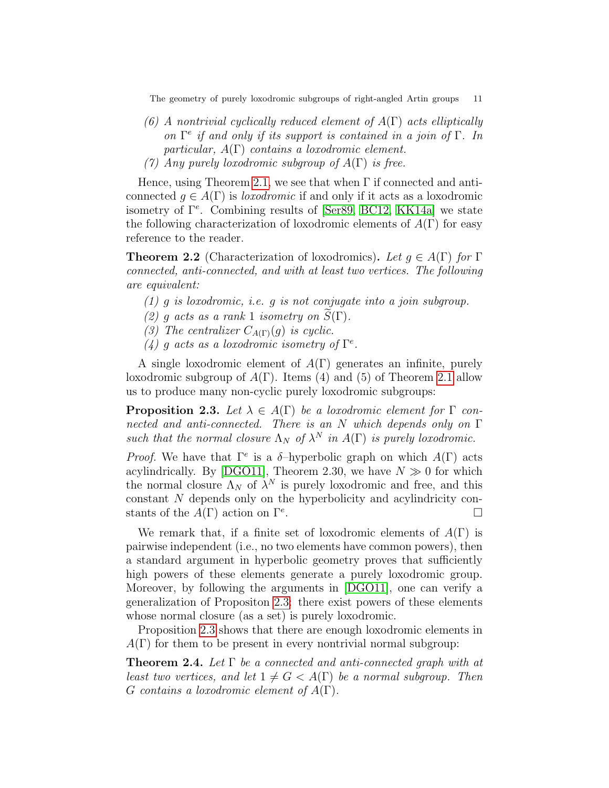The geometry of purely loxodromic subgroups of right-angled Artin groups 11

- (6) A nontrivial cyclically reduced element of  $A(\Gamma)$  acts elliptically on  $\Gamma^e$  if and only if its support is contained in a join of  $\Gamma$ . In particular,  $A(\Gamma)$  contains a loxodromic element.
- (7) Any purely loxodromic subgroup of  $A(\Gamma)$  is free.

Hence, using Theorem [2.1,](#page-9-1) we see that when  $\Gamma$  if connected and anticonnected  $g \in A(\Gamma)$  is *loxodromic* if and only if it acts as a loxodromic isometry of  $\Gamma^e$ . Combining results of [\[Ser89,](#page-38-0) [BC12,](#page-36-4) [KK14a\]](#page-37-7) we state the following characterization of loxodromic elements of  $A(\Gamma)$  for easy reference to the reader.

<span id="page-10-0"></span>**Theorem 2.2** (Characterization of loxodromics). Let  $q \in A(\Gamma)$  for  $\Gamma$ connected, anti-connected, and with at least two vertices. The following are equivalent:

- (1) g is loxodromic, i.e. g is not conjugate into a join subgroup.
- (2) q acts as a rank 1 isometry on  $S(\Gamma)$ .
- (3) The centralizer  $C_{A(\Gamma)}(q)$  is cyclic.
- (4) g acts as a loxodromic isometry of  $\Gamma^e$ .

A single loxodromic element of  $A(\Gamma)$  generates an infinite, purely loxodromic subgroup of  $A(\Gamma)$ . Items (4) and (5) of Theorem [2.1](#page-9-1) allow us to produce many non-cyclic purely loxodromic subgroups:

<span id="page-10-1"></span>**Proposition 2.3.** Let  $\lambda \in A(\Gamma)$  be a loxodromic element for  $\Gamma$  connected and anti-connected. There is an N which depends only on  $\Gamma$ such that the normal closure  $\Lambda_N$  of  $\lambda^N$  in  $A(\Gamma)$  is purely loxodromic.

*Proof.* We have that  $\Gamma^e$  is a  $\delta$ -hyperbolic graph on which  $A(\Gamma)$  acts acylindrically. By [\[DGO11\]](#page-36-9), Theorem 2.30, we have  $N \gg 0$  for which the normal closure  $\Lambda_N$  of  $\lambda^N$  is purely loxodromic and free, and this constant N depends only on the hyperbolicity and acylindricity constants of the  $A(\Gamma)$  action on  $\Gamma^e$ . .

We remark that, if a finite set of loxodromic elements of  $A(\Gamma)$  is pairwise independent (i.e., no two elements have common powers), then a standard argument in hyperbolic geometry proves that sufficiently high powers of these elements generate a purely loxodromic group. Moreover, by following the arguments in [\[DGO11\]](#page-36-9), one can verify a generalization of Propositon [2.3:](#page-10-1) there exist powers of these elements whose normal closure (as a set) is purely loxodromic.

Proposition [2.3](#page-10-1) shows that there are enough loxodromic elements in  $A(\Gamma)$  for them to be present in every nontrivial normal subgroup:

<span id="page-10-2"></span>**Theorem 2.4.** Let  $\Gamma$  be a connected and anti-connected graph with at least two vertices, and let  $1 \neq G < A(\Gamma)$  be a normal subgroup. Then G contains a loxodromic element of  $A(\Gamma)$ .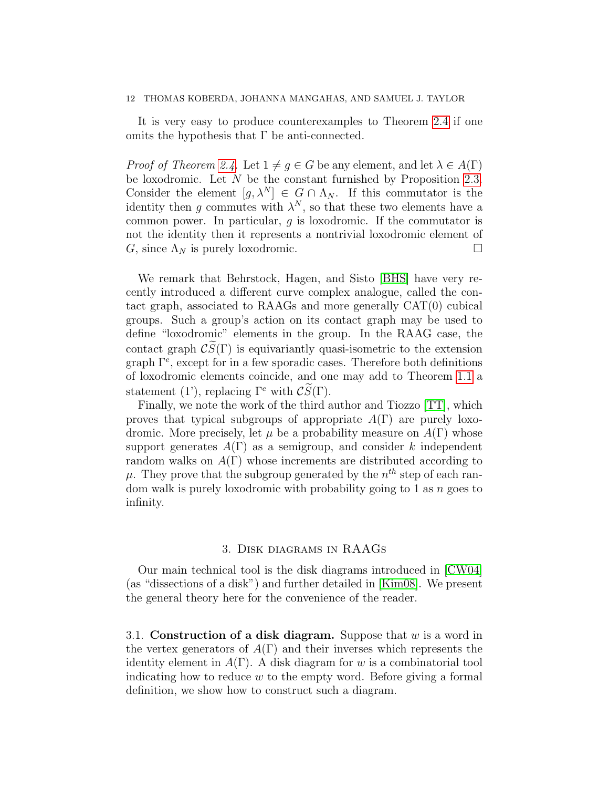It is very easy to produce counterexamples to Theorem [2.4](#page-10-2) if one omits the hypothesis that  $\Gamma$  be anti-connected.

*Proof of Theorem [2.4.](#page-10-2)* Let  $1 \neq g \in G$  be any element, and let  $\lambda \in A(\Gamma)$ be loxodromic. Let N be the constant furnished by Proposition [2.3.](#page-10-1) Consider the element  $[g, \lambda^N] \in G \cap \Lambda_N$ . If this commutator is the identity then g commutes with  $\lambda^N$ , so that these two elements have a common power. In particular, g is loxodromic. If the commutator is not the identity then it represents a nontrivial loxodromic element of G, since  $\Lambda_N$  is purely loxodromic.

We remark that Behrstock, Hagen, and Sisto [\[BHS\]](#page-36-10) have very recently introduced a different curve complex analogue, called the contact graph, associated to RAAGs and more generally CAT(0) cubical groups. Such a group's action on its contact graph may be used to define "loxodromic" elements in the group. In the RAAG case, the contact graph  $\mathcal{CS}(\Gamma)$  is equivariantly quasi-isometric to the extension graph Γ<sup>e</sup> , except for in a few sporadic cases. Therefore both definitions of loxodromic elements coincide, and one may add to Theorem [1.1](#page-2-0) a statement (1'), replacing  $\Gamma^e$  with  $\mathcal{CS}(\Gamma)$ .

Finally, we note the work of the third author and Tiozzo [\[TT\]](#page-38-4), which proves that typical subgroups of appropriate  $A(\Gamma)$  are purely loxodromic. More precisely, let  $\mu$  be a probability measure on  $A(\Gamma)$  whose support generates  $A(\Gamma)$  as a semigroup, and consider k independent random walks on  $A(\Gamma)$  whose increments are distributed according to  $\mu$ . They prove that the subgroup generated by the  $n^{th}$  step of each random walk is purely loxodromic with probability going to 1 as  $n$  goes to infinity.

## 3. Disk diagrams in RAAGs

<span id="page-11-0"></span>Our main technical tool is the disk diagrams introduced in [\[CW04\]](#page-36-2) (as "dissections of a disk") and further detailed in [\[Kim08\]](#page-37-17). We present the general theory here for the convenience of the reader.

<span id="page-11-1"></span>3.1. Construction of a disk diagram. Suppose that  $w$  is a word in the vertex generators of  $A(\Gamma)$  and their inverses which represents the identity element in  $A(\Gamma)$ . A disk diagram for w is a combinatorial tool indicating how to reduce w to the empty word. Before giving a formal definition, we show how to construct such a diagram.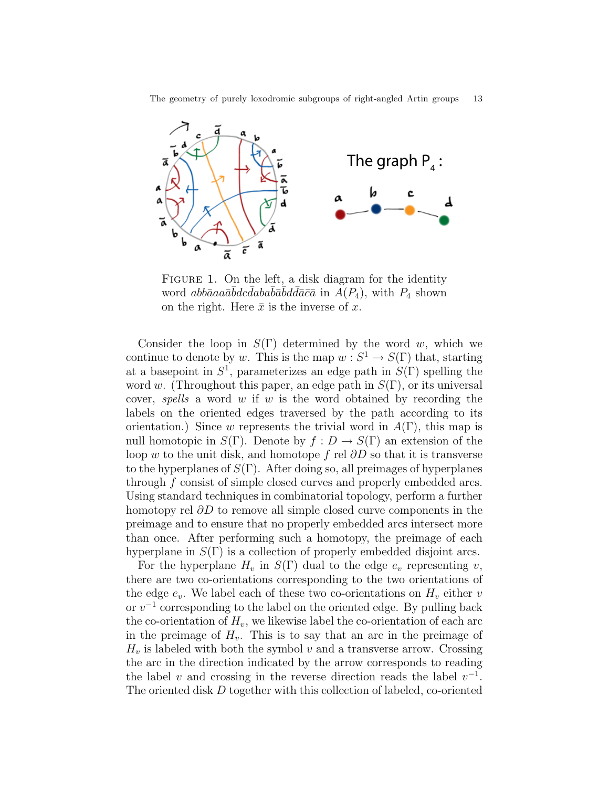The geometry of purely loxodromic subgroups of right-angled Artin groups 13

<span id="page-12-0"></span>

FIGURE 1. On the left, a disk diagram for the identity word abbāaa $a\bar{a}\bar{b}dc\bar{d}ab a\bar{b}\bar{a}\bar{b}d\bar{d}\bar{a}\bar{c}\bar{a}$  in  $\AA(P_4)$ , with  $P_4$  shown on the right. Here  $\bar{x}$  is the inverse of x.

Consider the loop in  $S(\Gamma)$  determined by the word w, which we continue to denote by w. This is the map  $w : S^1 \to S(\Gamma)$  that, starting at a basepoint in  $S^1$ , parameterizes an edge path in  $S(\Gamma)$  spelling the word w. (Throughout this paper, an edge path in  $S(\Gamma)$ , or its universal cover, spells a word w if w is the word obtained by recording the labels on the oriented edges traversed by the path according to its orientation.) Since w represents the trivial word in  $A(\Gamma)$ , this map is null homotopic in  $S(\Gamma)$ . Denote by  $f: D \to S(\Gamma)$  an extension of the loop w to the unit disk, and homotope f rel  $\partial D$  so that it is transverse to the hyperplanes of  $S(\Gamma)$ . After doing so, all preimages of hyperplanes through f consist of simple closed curves and properly embedded arcs. Using standard techniques in combinatorial topology, perform a further homotopy rel  $\partial D$  to remove all simple closed curve components in the preimage and to ensure that no properly embedded arcs intersect more than once. After performing such a homotopy, the preimage of each hyperplane in  $S(\Gamma)$  is a collection of properly embedded disjoint arcs.

For the hyperplane  $H_v$  in  $S(\Gamma)$  dual to the edge  $e_v$  representing v, there are two co-orientations corresponding to the two orientations of the edge  $e_v$ . We label each of these two co-orientations on  $H_v$  either v or  $v^{-1}$  corresponding to the label on the oriented edge. By pulling back the co-orientation of  $H_v$ , we likewise label the co-orientation of each arc in the preimage of  $H_v$ . This is to say that an arc in the preimage of  $H_v$  is labeled with both the symbol v and a transverse arrow. Crossing the arc in the direction indicated by the arrow corresponds to reading the label v and crossing in the reverse direction reads the label  $v^{-1}$ . The oriented disk D together with this collection of labeled, co-oriented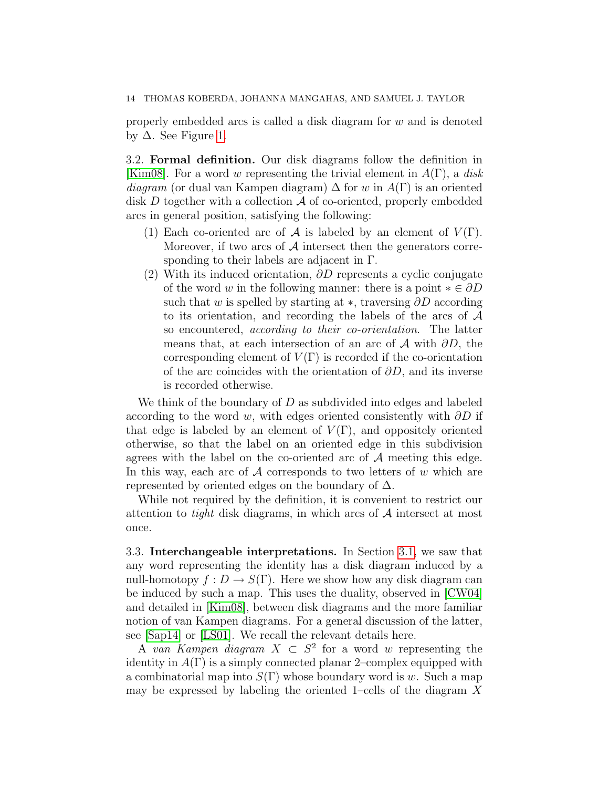properly embedded arcs is called a disk diagram for w and is denoted by  $\Delta$ . See Figure [1.](#page-12-0)

3.2. Formal definition. Our disk diagrams follow the definition in [\[Kim08\]](#page-37-17). For a word w representing the trivial element in  $A(\Gamma)$ , a disk diagram (or dual van Kampen diagram)  $\Delta$  for w in  $A(\Gamma)$  is an oriented disk  $D$  together with a collection  $\mathcal A$  of co-oriented, properly embedded arcs in general position, satisfying the following:

- (1) Each co-oriented arc of  $\mathcal A$  is labeled by an element of  $V(\Gamma)$ . Moreover, if two arcs of  $A$  intersect then the generators corresponding to their labels are adjacent in Γ.
- (2) With its induced orientation,  $\partial D$  represents a cyclic conjugate of the word w in the following manner: there is a point  $* \in \partial D$ such that w is spelled by starting at  $\ast$ , traversing  $\partial D$  according to its orientation, and recording the labels of the arcs of A so encountered, according to their co-orientation. The latter means that, at each intersection of an arc of  $\mathcal A$  with  $\partial D$ , the corresponding element of  $V(\Gamma)$  is recorded if the co-orientation of the arc coincides with the orientation of  $\partial D$ , and its inverse is recorded otherwise.

We think of the boundary of  $D$  as subdivided into edges and labeled according to the word w, with edges oriented consistently with  $\partial D$  if that edge is labeled by an element of  $V(\Gamma)$ , and oppositely oriented otherwise, so that the label on an oriented edge in this subdivision agrees with the label on the co-oriented arc of  $A$  meeting this edge. In this way, each arc of  $A$  corresponds to two letters of w which are represented by oriented edges on the boundary of  $\Delta$ .

While not required by the definition, it is convenient to restrict our attention to *tight* disk diagrams, in which arcs of  $A$  intersect at most once.

3.3. Interchangeable interpretations. In Section [3.1,](#page-11-1) we saw that any word representing the identity has a disk diagram induced by a null-homotopy  $f: D \to S(\Gamma)$ . Here we show how any disk diagram can be induced by such a map. This uses the duality, observed in [\[CW04\]](#page-36-2) and detailed in [\[Kim08\]](#page-37-17), between disk diagrams and the more familiar notion of van Kampen diagrams. For a general discussion of the latter, see [\[Sap14\]](#page-38-10) or [\[LS01\]](#page-37-18). We recall the relevant details here.

A van Kampen diagram  $X \subset S^2$  for a word w representing the identity in  $A(\Gamma)$  is a simply connected planar 2–complex equipped with a combinatorial map into  $S(\Gamma)$  whose boundary word is w. Such a map may be expressed by labeling the oriented 1–cells of the diagram  $X$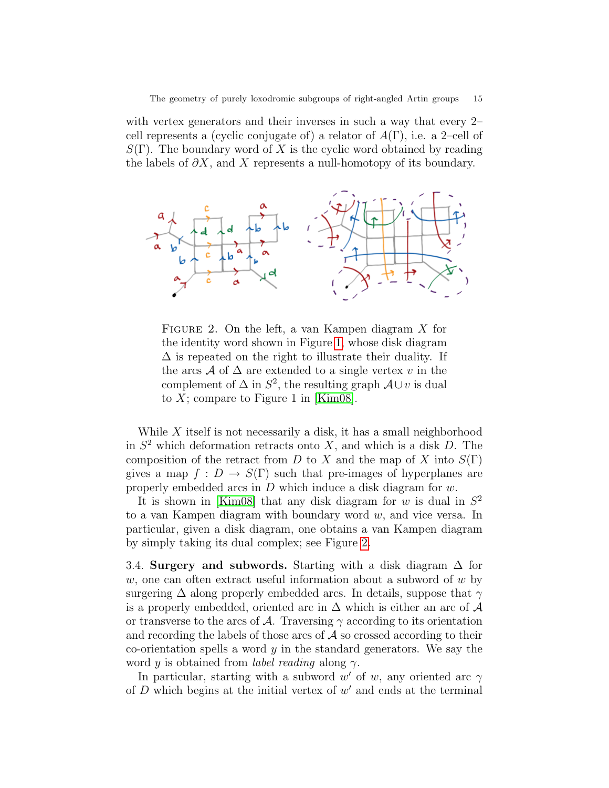with vertex generators and their inverses in such a way that every 2– cell represents a (cyclic conjugate of) a relator of  $A(\Gamma)$ , i.e. a 2–cell of  $S(\Gamma)$ . The boundary word of X is the cyclic word obtained by reading the labels of  $\partial X$ , and X represents a null-homotopy of its boundary.

<span id="page-14-0"></span>

FIGURE 2. On the left, a van Kampen diagram X for the identity word shown in Figure [1,](#page-12-0) whose disk diagram  $\Delta$  is repeated on the right to illustrate their duality. If the arcs A of  $\Delta$  are extended to a single vertex v in the complement of  $\Delta$  in  $S^2$ , the resulting graph  $\mathcal{A} \cup v$  is dual to  $X$ ; compare to Figure 1 in [\[Kim08\]](#page-37-17).

While  $X$  itself is not necessarily a disk, it has a small neighborhood in  $S<sup>2</sup>$  which deformation retracts onto X, and which is a disk D. The composition of the retract from D to X and the map of X into  $S(\Gamma)$ gives a map  $f: D \to S(\Gamma)$  such that pre-images of hyperplanes are properly embedded arcs in  $D$  which induce a disk diagram for  $w$ .

It is shown in [\[Kim08\]](#page-37-17) that any disk diagram for w is dual in  $S^2$ to a van Kampen diagram with boundary word  $w$ , and vice versa. In particular, given a disk diagram, one obtains a van Kampen diagram by simply taking its dual complex; see Figure [2.](#page-14-0)

3.4. Surgery and subwords. Starting with a disk diagram  $\Delta$  for w, one can often extract useful information about a subword of  $w$  by surgering  $\Delta$  along properly embedded arcs. In details, suppose that  $\gamma$ is a properly embedded, oriented arc in  $\Delta$  which is either an arc of  $\mathcal A$ or transverse to the arcs of A. Traversing  $\gamma$  according to its orientation and recording the labels of those arcs of  $A$  so crossed according to their co-orientation spells a word  $y$  in the standard generators. We say the word y is obtained from *label reading* along  $\gamma$ .

In particular, starting with a subword w' of w, any oriented arc  $\gamma$ of  $D$  which begins at the initial vertex of  $w'$  and ends at the terminal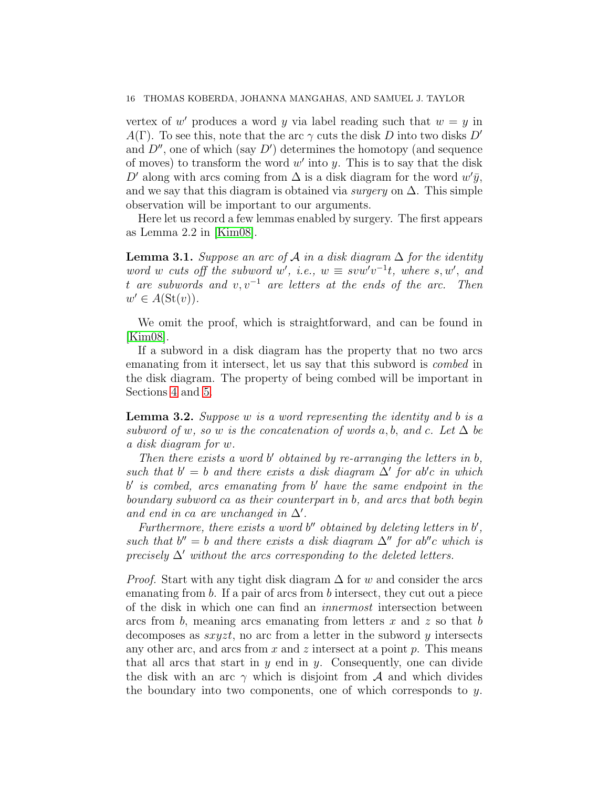vertex of  $w'$  produces a word y via label reading such that  $w = y$  in  $A(\Gamma)$ . To see this, note that the arc  $\gamma$  cuts the disk D into two disks D' and  $D''$ , one of which (say  $D'$ ) determines the homotopy (and sequence of moves) to transform the word  $w'$  into  $y$ . This is to say that the disk D' along with arcs coming from  $\Delta$  is a disk diagram for the word  $w'\bar{y}$ , and we say that this diagram is obtained via *surgery* on  $\Delta$ . This simple observation will be important to our arguments.

Here let us record a few lemmas enabled by surgery. The first appears as Lemma 2.2 in [\[Kim08\]](#page-37-17).

<span id="page-15-0"></span>**Lemma 3.1.** Suppose an arc of A in a disk diagram  $\Delta$  for the identity word w cuts off the subword w', i.e.,  $w \equiv s v w' v^{-1} t$ , where s, w', and t are subwords and  $v, v^{-1}$  are letters at the ends of the arc. Then  $w' \in A(\mathrm{St}(v)).$ 

We omit the proof, which is straightforward, and can be found in [\[Kim08\]](#page-37-17).

If a subword in a disk diagram has the property that no two arcs emanating from it intersect, let us say that this subword is combed in the disk diagram. The property of being combed will be important in Sections [4](#page-17-0) and [5.](#page-19-0)

<span id="page-15-1"></span>**Lemma 3.2.** Suppose w is a word representing the identity and b is a subword of w, so w is the concatenation of words a, b, and c. Let  $\Delta$  be a disk diagram for w.

Then there exists a word  $b'$  obtained by re-arranging the letters in  $b$ , such that  $b' = b$  and there exists a disk diagram  $\Delta'$  for ab'c in which b' is combed, arcs emanating from b' have the same endpoint in the boundary subword ca as their counterpart in b, and arcs that both begin and end in ca are unchanged in  $\Delta'$ .

Furthermore, there exists a word  $b''$  obtained by deleting letters in  $b'$ , such that  $b'' = b$  and there exists a disk diagram  $\Delta''$  for ab"c which is precisely  $\Delta'$  without the arcs corresponding to the deleted letters.

*Proof.* Start with any tight disk diagram  $\Delta$  for w and consider the arcs emanating from  $b$ . If a pair of arcs from  $b$  intersect, they cut out a piece of the disk in which one can find an innermost intersection between arcs from  $b$ , meaning arcs emanating from letters x and z so that b decomposes as  $sxyzt$ , no arc from a letter in the subword y intersects any other arc, and arcs from  $x$  and  $z$  intersect at a point  $p$ . This means that all arcs that start in  $y$  end in  $y$ . Consequently, one can divide the disk with an arc  $\gamma$  which is disjoint from A and which divides the boundary into two components, one of which corresponds to  $y$ .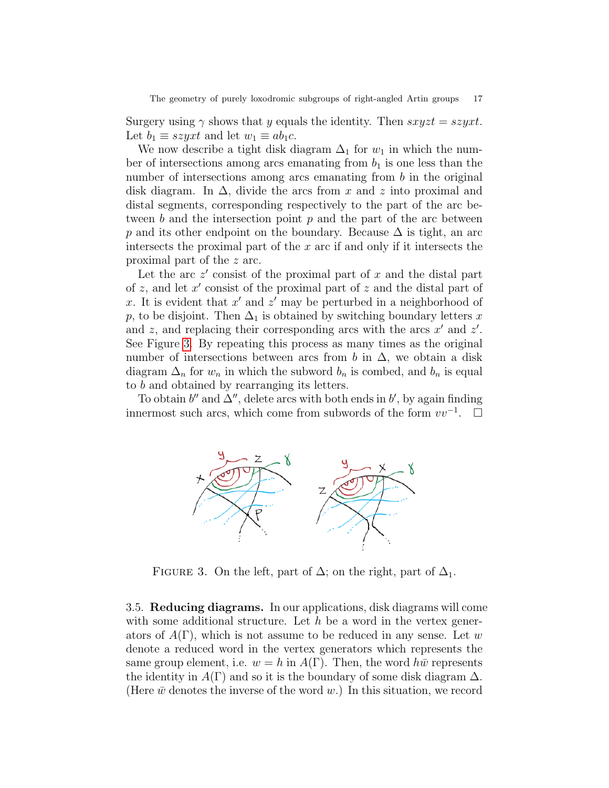Surgery using  $\gamma$  shows that y equals the identity. Then  $sxyzt = szyxt$ . Let  $b_1 \equiv szyxt$  and let  $w_1 \equiv ab_1c$ .

We now describe a tight disk diagram  $\Delta_1$  for  $w_1$  in which the number of intersections among arcs emanating from  $b_1$  is one less than the number of intersections among arcs emanating from b in the original disk diagram. In  $\Delta$ , divide the arcs from x and z into proximal and distal segments, corresponding respectively to the part of the arc between  $b$  and the intersection point  $p$  and the part of the arc between p and its other endpoint on the boundary. Because  $\Delta$  is tight, an arc intersects the proximal part of the  $x$  arc if and only if it intersects the proximal part of the z arc.

Let the arc  $z'$  consist of the proximal part of  $x$  and the distal part of  $z$ , and let  $x'$  consist of the proximal part of  $z$  and the distal part of x. It is evident that  $x'$  and  $z'$  may be perturbed in a neighborhood of p, to be disjoint. Then  $\Delta_1$  is obtained by switching boundary letters x and z, and replacing their corresponding arcs with the arcs  $x'$  and  $z'$ . See Figure [3.](#page-16-0) By repeating this process as many times as the original number of intersections between arcs from b in  $\Delta$ , we obtain a disk diagram  $\Delta_n$  for  $w_n$  in which the subword  $b_n$  is combed, and  $b_n$  is equal to b and obtained by rearranging its letters.

<span id="page-16-0"></span>To obtain  $b''$  and  $\Delta''$ , delete arcs with both ends in  $b'$ , by again finding innermost such arcs, which come from subwords of the form  $vv^{-1}$ .  $\Box$ 



FIGURE 3. On the left, part of  $\Delta$ ; on the right, part of  $\Delta_1$ .

3.5. Reducing diagrams. In our applications, disk diagrams will come with some additional structure. Let h be a word in the vertex generators of  $A(\Gamma)$ , which is not assume to be reduced in any sense. Let w denote a reduced word in the vertex generators which represents the same group element, i.e.  $w = h$  in  $A(\Gamma)$ . Then, the word  $h\bar{w}$  represents the identity in  $A(\Gamma)$  and so it is the boundary of some disk diagram  $\Delta$ . (Here  $\bar{w}$  denotes the inverse of the word w.) In this situation, we record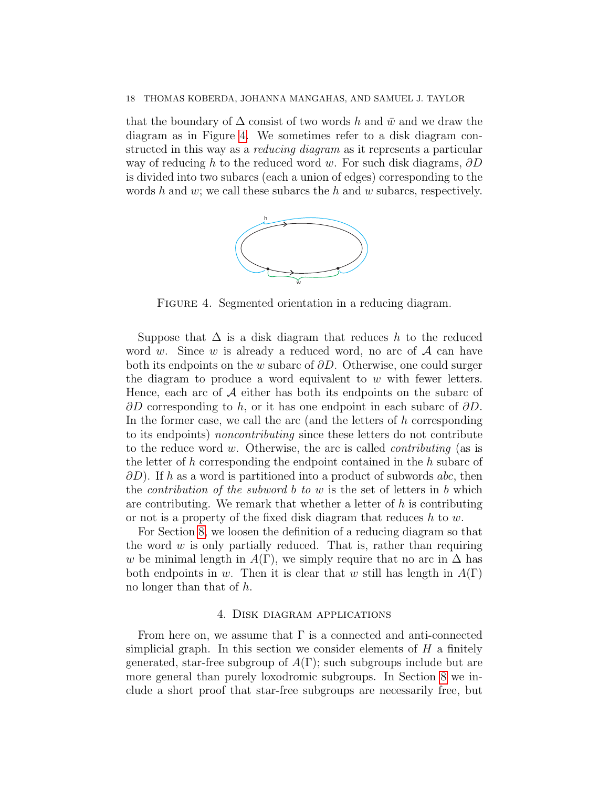<span id="page-17-1"></span>that the boundary of  $\Delta$  consist of two words h and  $\bar{w}$  and we draw the diagram as in Figure [4.](#page-17-1) We sometimes refer to a disk diagram constructed in this way as a reducing diagram as it represents a particular way of reducing h to the reduced word w. For such disk diagrams,  $\partial D$ is divided into two subarcs (each a union of edges) corresponding to the words h and w; we call these subarcs the h and w subarcs, respectively.



FIGURE 4. Segmented orientation in a reducing diagram.

Suppose that  $\Delta$  is a disk diagram that reduces h to the reduced word w. Since w is already a reduced word, no arc of  $A$  can have both its endpoints on the w subarc of  $\partial D$ . Otherwise, one could surger the diagram to produce a word equivalent to  $w$  with fewer letters. Hence, each arc of  $A$  either has both its endpoints on the subarc of  $\partial D$  corresponding to h, or it has one endpoint in each subarc of  $\partial D$ . In the former case, we call the arc (and the letters of  $h$  corresponding to its endpoints) noncontributing since these letters do not contribute to the reduce word  $w$ . Otherwise, the arc is called *contributing* (as is the letter of h corresponding the endpoint contained in the h subarc of  $\partial D$ ). If h as a word is partitioned into a product of subwords abc, then the *contribution of the subword b to w* is the set of letters in b which are contributing. We remark that whether a letter of  $h$  is contributing or not is a property of the fixed disk diagram that reduces  $h$  to  $w$ .

For Section [8,](#page-26-0) we loosen the definition of a reducing diagram so that the word  $w$  is only partially reduced. That is, rather than requiring w be minimal length in  $A(\Gamma)$ , we simply require that no arc in  $\Delta$  has both endpoints in w. Then it is clear that w still has length in  $A(\Gamma)$ no longer than that of h.

#### 4. Disk diagram applications

<span id="page-17-0"></span>From here on, we assume that  $\Gamma$  is a connected and anti-connected simplicial graph. In this section we consider elements of  $H$  a finitely generated, star-free subgroup of  $A(\Gamma)$ ; such subgroups include but are more general than purely loxodromic subgroups. In Section [8](#page-26-0) we include a short proof that star-free subgroups are necessarily free, but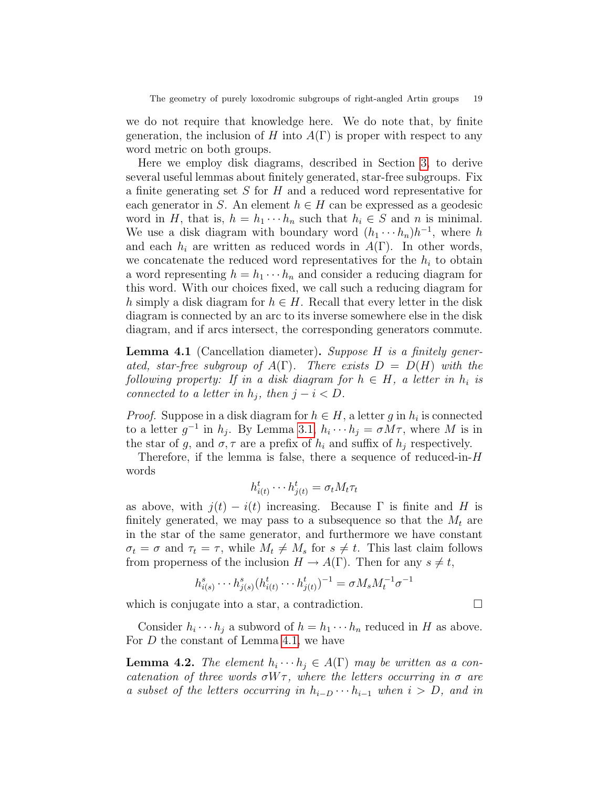we do not require that knowledge here. We do note that, by finite generation, the inclusion of H into  $A(\Gamma)$  is proper with respect to any word metric on both groups.

Here we employ disk diagrams, described in Section [3,](#page-11-0) to derive several useful lemmas about finitely generated, star-free subgroups. Fix a finite generating set S for H and a reduced word representative for each generator in S. An element  $h \in H$  can be expressed as a geodesic word in H, that is,  $h = h_1 \cdots h_n$  such that  $h_i \in S$  and n is minimal. We use a disk diagram with boundary word  $(h_1 \cdots h_n)h^{-1}$ , where h and each  $h_i$  are written as reduced words in  $A(\Gamma)$ . In other words, we concatenate the reduced word representatives for the  $h_i$  to obtain a word representing  $h = h_1 \cdots h_n$  and consider a reducing diagram for this word. With our choices fixed, we call such a reducing diagram for h simply a disk diagram for  $h \in H$ . Recall that every letter in the disk diagram is connected by an arc to its inverse somewhere else in the disk diagram, and if arcs intersect, the corresponding generators commute.

<span id="page-18-0"></span>**Lemma 4.1** (Cancellation diameter). Suppose  $H$  is a finitely generated, star-free subgroup of  $A(\Gamma)$ . There exists  $D = D(H)$  with the following property: If in a disk diagram for  $h \in H$ , a letter in  $h_i$  is connected to a letter in  $h_i$ , then  $j - i < D$ .

*Proof.* Suppose in a disk diagram for  $h \in H$ , a letter g in  $h_i$  is connected to a letter  $g^{-1}$  in  $h_j$ . By Lemma [3.1,](#page-15-0)  $h_i \cdots h_j = \sigma M \tau$ , where M is in the star of g, and  $\sigma$ ,  $\tau$  are a prefix of  $h_i$  and suffix of  $h_j$  respectively.

Therefore, if the lemma is false, there a sequence of reduced-in- $H$ words

$$
h_{i(t)}^t \cdots h_{j(t)}^t = \sigma_t M_t \tau_t
$$

as above, with  $j(t) - i(t)$  increasing. Because  $\Gamma$  is finite and H is finitely generated, we may pass to a subsequence so that the  $M_t$  are in the star of the same generator, and furthermore we have constant  $\sigma_t = \sigma$  and  $\tau_t = \tau$ , while  $M_t \neq M_s$  for  $s \neq t$ . This last claim follows from properness of the inclusion  $H \to A(\Gamma)$ . Then for any  $s \neq t$ ,

$$
h_{i(s)}^{s} \cdots h_{j(s)}^{s} (h_{i(t)}^{t} \cdots h_{j(t)}^{t})^{-1} = \sigma M_{s} M_{t}^{-1} \sigma^{-1}
$$

which is conjugate into a star, a contradiction.  $\Box$ 

Consider  $h_i \cdots h_j$  a subword of  $h = h_1 \cdots h_n$  reduced in H as above. For D the constant of Lemma [4.1,](#page-18-0) we have

<span id="page-18-1"></span>**Lemma 4.2.** The element  $h_i \cdots h_j \in A(\Gamma)$  may be written as a concatenation of three words  $\sigma W \tau$ , where the letters occurring in  $\sigma$  are a subset of the letters occurring in  $h_{i-D} \cdots h_{i-1}$  when  $i > D$ , and in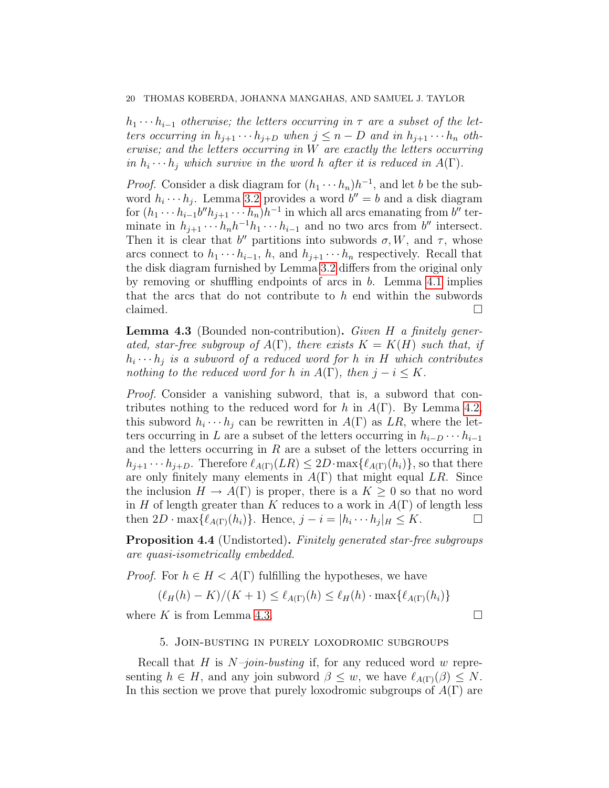$h_1 \cdots h_{i-1}$  otherwise; the letters occurring in  $\tau$  are a subset of the letters occurring in  $h_{j+1} \cdots h_{j+D}$  when  $j \leq n - D$  and in  $h_{j+1} \cdots h_n$  otherwise; and the letters occurring in W are exactly the letters occurring in  $h_i \cdots h_j$  which survive in the word h after it is reduced in  $A(\Gamma)$ .

*Proof.* Consider a disk diagram for  $(h_1 \cdots h_n)h^{-1}$ , and let b be the subword  $h_i \cdots h_j$ . Lemma [3.2](#page-15-1) provides a word  $b'' = b$  and a disk diagram for  $(h_1 \cdots h_{i-1} b'' h_{j+1} \cdots h_n) h^{-1}$  in which all arcs emanating from  $b''$  terminate in  $h_{j+1} \cdots h_n h^{-1} h_1 \cdots h_{i-1}$  and no two arcs from  $b''$  intersect. Then it is clear that b'' partitions into subwords  $\sigma, W$ , and  $\tau$ , whose arcs connect to  $h_1 \cdots h_{i-1}$ , h, and  $h_{i+1} \cdots h_n$  respectively. Recall that the disk diagram furnished by Lemma [3.2](#page-15-1) differs from the original only by removing or shuffling endpoints of arcs in b. Lemma [4.1](#page-18-0) implies that the arcs that do not contribute to  $h$  end within the subwords claimed.  $\Box$ 

<span id="page-19-1"></span>**Lemma 4.3** (Bounded non-contribution). Given  $H$  a finitely generated, star-free subgroup of  $A(\Gamma)$ , there exists  $K = K(H)$  such that, if  $h_i \cdots h_j$  is a subword of a reduced word for h in H which contributes nothing to the reduced word for h in  $A(\Gamma)$ , then  $j - i \leq K$ .

Proof. Consider a vanishing subword, that is, a subword that contributes nothing to the reduced word for h in  $A(\Gamma)$ . By Lemma [4.2,](#page-18-1) this subword  $h_i \cdots h_j$  can be rewritten in  $A(\Gamma)$  as  $LR$ , where the letters occurring in L are a subset of the letters occurring in  $h_{i-D} \cdots h_{i-1}$ and the letters occurring in  $R$  are a subset of the letters occurring in  $h_{j+1} \cdots h_{j+D}$ . Therefore  $\ell_{A(\Gamma)}(LR) \leq 2D \cdot \max\{\ell_{A(\Gamma)}(h_i)\}\)$ , so that there are only finitely many elements in  $A(\Gamma)$  that might equal LR. Since the inclusion  $H \to A(\Gamma)$  is proper, there is a  $K \geq 0$  so that no word in H of length greater than K reduces to a work in  $A(\Gamma)$  of length less then  $2D \cdot \max{\ell_{A(\Gamma)}(h_i)}$ . Hence,  $j - i = |h_i \cdots h_j|_H \leq K$ .

<span id="page-19-2"></span>**Proposition 4.4** (Undistorted). Finitely generated star-free subgroups are quasi-isometrically embedded.

*Proof.* For  $h \in H \leq A(\Gamma)$  fulfilling the hypotheses, we have

$$
(\ell_H(h) - K)/(K + 1) \le \ell_{A(\Gamma)}(h) \le \ell_H(h) \cdot \max\{\ell_{A(\Gamma)}(h_i)\}\
$$

<span id="page-19-0"></span>where K is from Lemma [4.3.](#page-19-1)

## 5. Join-busting in purely loxodromic subgroups

Recall that H is  $N$ -join-busting if, for any reduced word w representing  $h \in H$ , and any join subword  $\beta \leq w$ , we have  $\ell_{A(\Gamma)}(\beta) \leq N$ . In this section we prove that purely loxodromic subgroups of  $A(\Gamma)$  are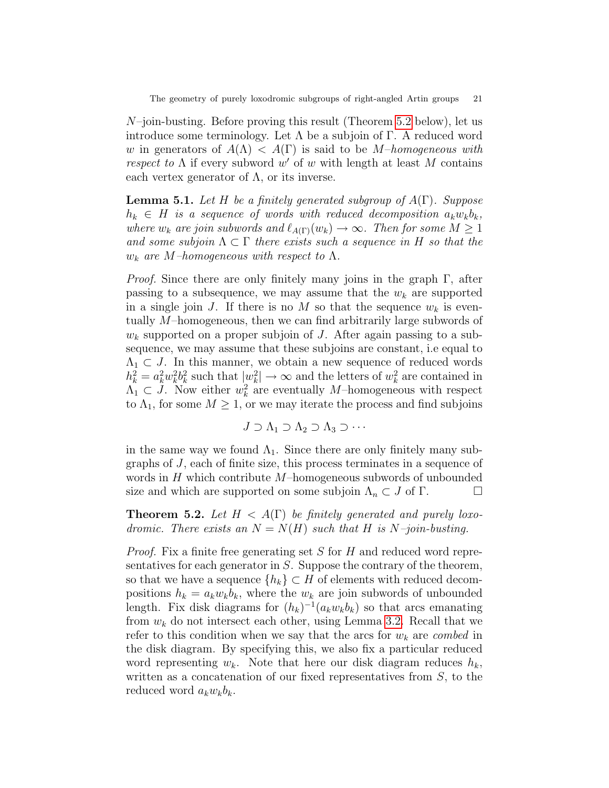$N$ –join-busting. Before proving this result (Theorem [5.2](#page-20-0) below), let us introduce some terminology. Let  $\Lambda$  be a subjoin of  $\Gamma$ . A reduced word w in generators of  $A(\Lambda) < A(\Gamma)$  is said to be M-homogeneous with respect to  $\Lambda$  if every subword w' of w with length at least M contains each vertex generator of  $\Lambda$ , or its inverse.

<span id="page-20-1"></span>**Lemma 5.1.** Let H be a finitely generated subgroup of  $A(\Gamma)$ . Suppose  $h_k \in H$  is a sequence of words with reduced decomposition  $a_k w_k b_k$ , where  $w_k$  are join subwords and  $\ell_{A(\Gamma)}(w_k) \to \infty$ . Then for some  $M \geq 1$ and some subjoin  $\Lambda \subset \Gamma$  there exists such a sequence in H so that the  $w_k$  are M–homogeneous with respect to  $\Lambda$ .

*Proof.* Since there are only finitely many joins in the graph  $\Gamma$ , after passing to a subsequence, we may assume that the  $w_k$  are supported in a single join J. If there is no M so that the sequence  $w_k$  is eventually M–homogeneous, then we can find arbitrarily large subwords of  $w_k$  supported on a proper subjoin of J. After again passing to a subsequence, we may assume that these subjoins are constant, i.e equal to  $\Lambda_1 \subset J$ . In this manner, we obtain a new sequence of reduced words  $h_k^2 = a_k^2 w_k^2 b_k^2$  such that  $|w_k^2| \to \infty$  and the letters of  $w_k^2$  are contained in  $\Lambda_1 \subset J$ . Now either  $w_k^2$  are eventually M-homogeneous with respect to  $\Lambda_1$ , for some  $M \geq 1$ , or we may iterate the process and find subjoins

$$
J \supset \Lambda_1 \supset \Lambda_2 \supset \Lambda_3 \supset \cdots
$$

in the same way we found  $\Lambda_1$ . Since there are only finitely many subgraphs of J, each of finite size, this process terminates in a sequence of words in  $H$  which contribute  $M$ –homogeneous subwords of unbounded size and which are supported on some subjoin  $\Lambda_n \subset J$  of  $\Gamma$ .

<span id="page-20-0"></span>**Theorem 5.2.** Let  $H < A(\Gamma)$  be finitely generated and purely loxodromic. There exists an  $N = N(H)$  such that H is N-join-busting.

Proof. Fix a finite free generating set S for H and reduced word representatives for each generator in  $S$ . Suppose the contrary of the theorem, so that we have a sequence  $\{h_k\} \subset H$  of elements with reduced decompositions  $h_k = a_k w_k b_k$ , where the  $w_k$  are join subwords of unbounded length. Fix disk diagrams for  $(h_k)^{-1}(a_k w_k b_k)$  so that arcs emanating from  $w_k$  do not intersect each other, using Lemma [3.2.](#page-15-1) Recall that we refer to this condition when we say that the arcs for  $w_k$  are *combed* in the disk diagram. By specifying this, we also fix a particular reduced word representing  $w_k$ . Note that here our disk diagram reduces  $h_k$ , written as a concatenation of our fixed representatives from  $S$ , to the reduced word  $a_k w_k b_k$ .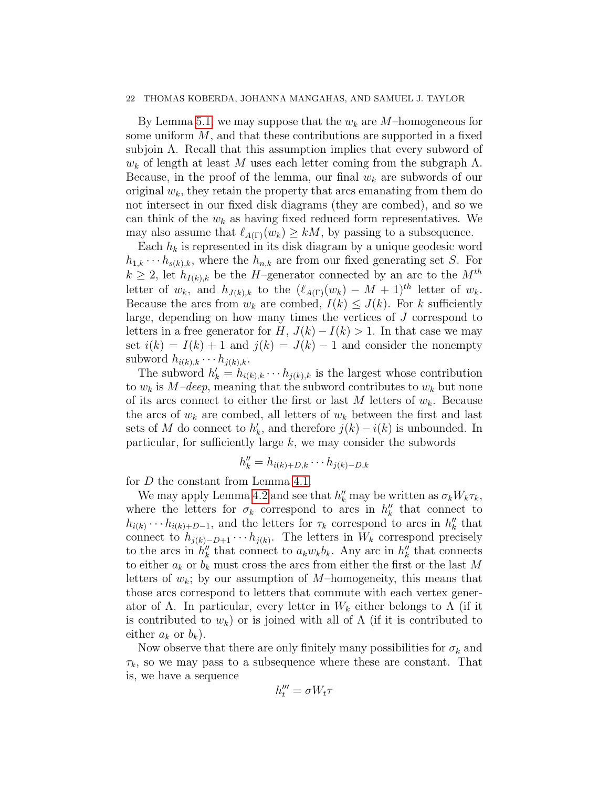By Lemma [5.1,](#page-20-1) we may suppose that the  $w_k$  are M–homogeneous for some uniform  $M$ , and that these contributions are supported in a fixed subjoin  $\Lambda$ . Recall that this assumption implies that every subword of  $w_k$  of length at least M uses each letter coming from the subgraph  $\Lambda$ . Because, in the proof of the lemma, our final  $w_k$  are subwords of our original  $w_k$ , they retain the property that arcs emanating from them do not intersect in our fixed disk diagrams (they are combed), and so we can think of the  $w_k$  as having fixed reduced form representatives. We may also assume that  $\ell_{A(\Gamma)}(w_k) \geq kM$ , by passing to a subsequence.

Each  $h_k$  is represented in its disk diagram by a unique geodesic word  $h_{1,k} \cdots h_{s(k),k}$ , where the  $h_{n,k}$  are from our fixed generating set S. For  $k \geq 2$ , let  $h_{I(k),k}$  be the H–generator connected by an arc to the  $M^{th}$ letter of  $w_k$ , and  $h_{J(k),k}$  to the  $(\ell_{A(\Gamma)}(w_k) - M + 1)^{th}$  letter of  $w_k$ . Because the arcs from  $w_k$  are combed,  $I(k) \leq J(k)$ . For k sufficiently large, depending on how many times the vertices of J correspond to letters in a free generator for H,  $J(k) - I(k) > 1$ . In that case we may set  $i(k) = I(k) + 1$  and  $j(k) = J(k) - 1$  and consider the nonempty subword  $h_{i(k),k} \cdots h_{j(k),k}$ .

The subword  $h'_k = h_{i(k),k} \cdots h_{j(k),k}$  is the largest whose contribution to  $w_k$  is  $M$ –deep, meaning that the subword contributes to  $w_k$  but none of its arcs connect to either the first or last M letters of  $w_k$ . Because the arcs of  $w_k$  are combed, all letters of  $w_k$  between the first and last sets of M do connect to  $h'_k$ , and therefore  $j(k) - i(k)$  is unbounded. In particular, for sufficiently large  $k$ , we may consider the subwords

$$
h''_k = h_{i(k)+D,k} \cdots h_{j(k)-D,k}
$$

for D the constant from Lemma [4.1.](#page-18-0)

We may apply Lemma [4.2](#page-18-1) and see that  $h''_k$  may be written as  $\sigma_k W_k \tau_k$ , where the letters for  $\sigma_k$  correspond to arcs in  $h''_k$  that connect to  $h_{i(k)} \cdots h_{i(k)+D-1}$ , and the letters for  $\tau_k$  correspond to arcs in  $h''_k$  that connect to  $h_{j(k)-D+1}\cdots h_{j(k)}$ . The letters in  $W_k$  correspond precisely to the arcs in  $h''_k$  that connect to  $a_k w_k b_k$ . Any arc in  $h''_k$  that connects to either  $a_k$  or  $b_k$  must cross the arcs from either the first or the last M letters of  $w_k$ ; by our assumption of M–homogeneity, this means that those arcs correspond to letters that commute with each vertex generator of  $\Lambda$ . In particular, every letter in  $W_k$  either belongs to  $\Lambda$  (if it is contributed to  $w_k$ ) or is joined with all of  $\Lambda$  (if it is contributed to either  $a_k$  or  $b_k$ ).

Now observe that there are only finitely many possibilities for  $\sigma_k$  and  $\tau_k$ , so we may pass to a subsequence where these are constant. That is, we have a sequence

$$
h_t''' = \sigma W_t \tau
$$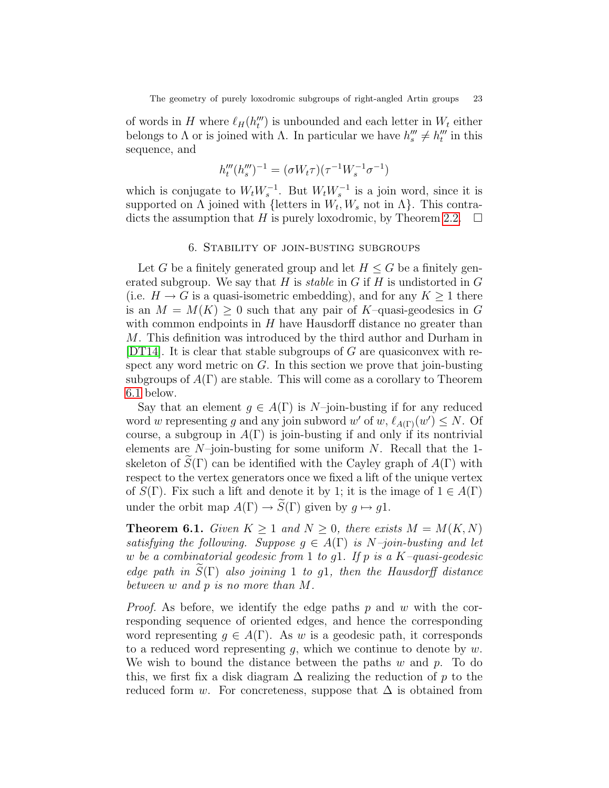of words in H where  $\ell_H(h'''_t)$  is unbounded and each letter in  $W_t$  either belongs to  $\Lambda$  or is joined with  $\Lambda$ . In particular we have  $h'''_s \neq h'''_t$  in this sequence, and

$$
h_t'''(h_s''')^{-1} = (\sigma W_t \tau)(\tau^{-1} W_s^{-1} \sigma^{-1})
$$

which is conjugate to  $W_t W_s^{-1}$ . But  $W_t W_s^{-1}$  is a join word, since it is supported on  $\Lambda$  joined with {letters in  $W_t, W_s$  not in  $\Lambda$ }. This contra-dicts the assumption that H is purely loxodromic, by Theorem [2.2.](#page-10-0)  $\Box$ 

## 6. Stability of join-busting subgroups

<span id="page-22-0"></span>Let G be a finitely generated group and let  $H \leq G$  be a finitely generated subgroup. We say that  $H$  is stable in  $G$  if  $H$  is undistorted in  $G$ (i.e.  $H \to G$  is a quasi-isometric embedding), and for any  $K \geq 1$  there is an  $M = M(K) \geq 0$  such that any pair of K–quasi-geodesics in G with common endpoints in  $H$  have Hausdorff distance no greater than M. This definition was introduced by the third author and Durham in [\[DT14\]](#page-37-8). It is clear that stable subgroups of  $G$  are quasiconvex with respect any word metric on  $G$ . In this section we prove that join-busting subgroups of  $A(\Gamma)$  are stable. This will come as a corollary to Theorem [6.1](#page-22-1) below.

Say that an element  $g \in A(\Gamma)$  is N–join-busting if for any reduced word w representing g and any join subword w' of w,  $\ell_{A(\Gamma)}(w') \leq N$ . Of course, a subgroup in  $A(\Gamma)$  is join-busting if and only if its nontrivial elements are  $N$ -join-busting for some uniform N. Recall that the 1skeleton of  $\widetilde{S}(\Gamma)$  can be identified with the Cayley graph of  $A(\Gamma)$  with respect to the vertex generators once we fixed a lift of the unique vertex of  $S(\Gamma)$ . Fix such a lift and denote it by 1; it is the image of  $1 \in A(\Gamma)$ under the orbit map  $A(\Gamma) \to \widetilde{S}(\Gamma)$  given by  $g \mapsto g_1$ .

<span id="page-22-1"></span>**Theorem 6.1.** Given  $K \geq 1$  and  $N \geq 0$ , there exists  $M = M(K, N)$ satisfying the following. Suppose  $q \in A(\Gamma)$  is N-join-busting and let w be a combinatorial geodesic from 1 to g1. If p is a  $K$ -quasi-geodesic edge path in  $\tilde{S}(\Gamma)$  also joining 1 to g1, then the Hausdorff distance between w and p is no more than M.

*Proof.* As before, we identify the edge paths  $p$  and  $w$  with the corresponding sequence of oriented edges, and hence the corresponding word representing  $g \in A(\Gamma)$ . As w is a geodesic path, it corresponds to a reduced word representing  $g$ , which we continue to denote by  $w$ . We wish to bound the distance between the paths  $w$  and  $p$ . To do this, we first fix a disk diagram  $\Delta$  realizing the reduction of p to the reduced form w. For concreteness, suppose that  $\Delta$  is obtained from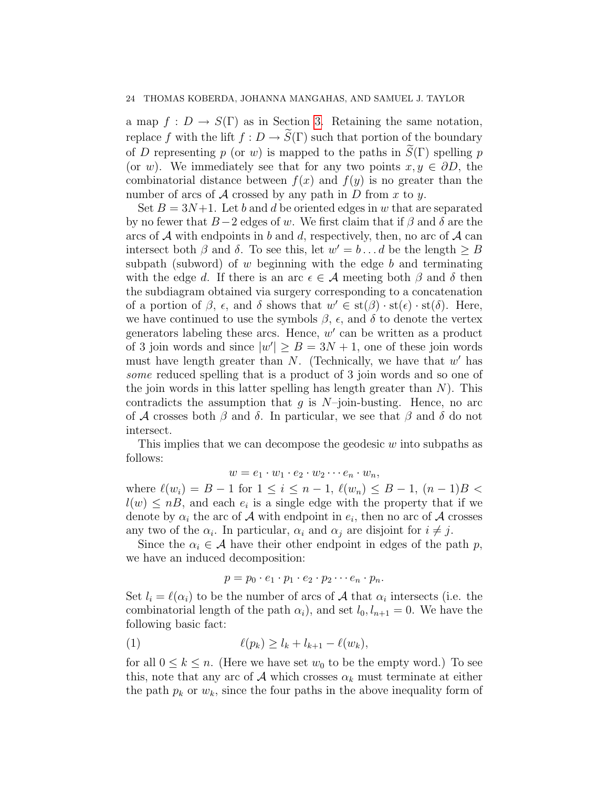a map  $f: D \to S(\Gamma)$  as in Section [3.](#page-11-0) Retaining the same notation, replace f with the lift  $f: D \to \widetilde{S}(\Gamma)$  such that portion of the boundary of D representing p (or w) is mapped to the paths in  $S(\Gamma)$  spelling p (or w). We immediately see that for any two points  $x, y \in \partial D$ , the combinatorial distance between  $f(x)$  and  $f(y)$  is no greater than the number of arcs of  $A$  crossed by any path in  $D$  from  $x$  to  $y$ .

Set  $B = 3N+1$ . Let b and d be oriented edges in w that are separated by no fewer that  $B-2$  edges of w. We first claim that if  $\beta$  and  $\delta$  are the arcs of  $A$  with endpoints in b and d, respectively, then, no arc of  $A$  can intersect both  $\beta$  and  $\delta$ . To see this, let  $w' = b \dots d$  be the length  $\geq B$ subpath (subword) of  $w$  beginning with the edge  $b$  and terminating with the edge d. If there is an arc  $\epsilon \in \mathcal{A}$  meeting both  $\beta$  and  $\delta$  then the subdiagram obtained via surgery corresponding to a concatenation of a portion of  $\beta$ ,  $\epsilon$ , and  $\delta$  shows that  $w' \in \text{st}(\beta) \cdot \text{st}(\epsilon) \cdot \text{st}(\delta)$ . Here, we have continued to use the symbols  $\beta$ ,  $\epsilon$ , and  $\delta$  to denote the vertex generators labeling these arcs. Hence,  $w'$  can be written as a product of 3 join words and since  $|w'| \geq B = 3N + 1$ , one of these join words must have length greater than  $N$ . (Technically, we have that  $w'$  has some reduced spelling that is a product of 3 join words and so one of the join words in this latter spelling has length greater than  $N$ ). This contradicts the assumption that q is  $N$ -join-busting. Hence, no arc of A crosses both  $\beta$  and  $\delta$ . In particular, we see that  $\beta$  and  $\delta$  do not intersect.

This implies that we can decompose the geodesic  $w$  into subpaths as follows:

$$
w = e_1 \cdot w_1 \cdot e_2 \cdot w_2 \cdots e_n \cdot w_n,
$$

where  $\ell(w_i) = B - 1$  for  $1 \leq i \leq n - 1$ ,  $\ell(w_n) \leq B - 1$ ,  $(n - 1)B <$  $l(w) \leq nB$ , and each  $e_i$  is a single edge with the property that if we denote by  $\alpha_i$  the arc of  $\mathcal A$  with endpoint in  $e_i$ , then no arc of  $\mathcal A$  crosses any two of the  $\alpha_i$ . In particular,  $\alpha_i$  and  $\alpha_j$  are disjoint for  $i \neq j$ .

Since the  $\alpha_i \in \mathcal{A}$  have their other endpoint in edges of the path p, we have an induced decomposition:

$$
p = p_0 \cdot e_1 \cdot p_1 \cdot e_2 \cdot p_2 \cdots e_n \cdot p_n.
$$

Set  $l_i = \ell(\alpha_i)$  to be the number of arcs of A that  $\alpha_i$  intersects (i.e. the combinatorial length of the path  $\alpha_i$ ), and set  $l_0, l_{n+1} = 0$ . We have the following basic fact:

<span id="page-23-0"></span>
$$
(1) \qquad \ell(p_k) \ge l_k + l_{k+1} - \ell(w_k),
$$

for all  $0 \leq k \leq n$ . (Here we have set  $w_0$  to be the empty word.) To see this, note that any arc of A which crosses  $\alpha_k$  must terminate at either the path  $p_k$  or  $w_k$ , since the four paths in the above inequality form of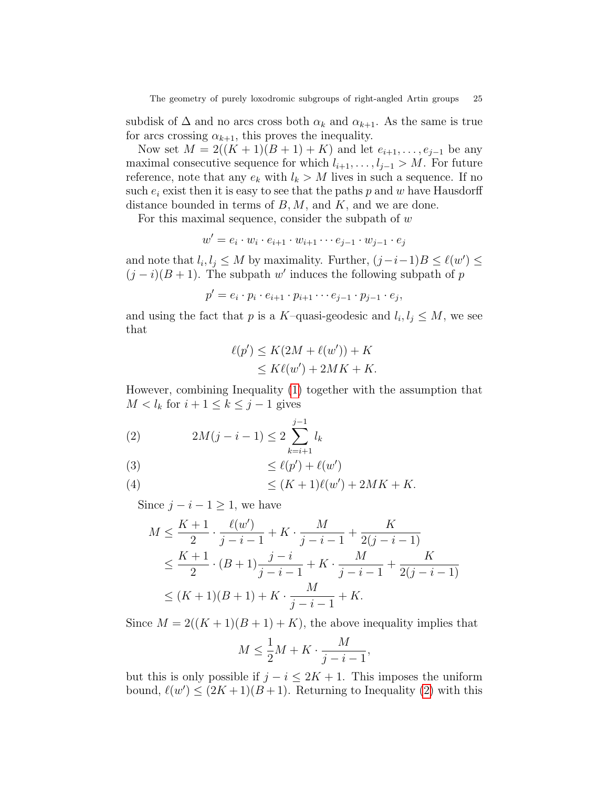subdisk of  $\Delta$  and no arcs cross both  $\alpha_k$  and  $\alpha_{k+1}$ . As the same is true for arcs crossing  $\alpha_{k+1}$ , this proves the inequality.

Now set  $M = 2((K + 1)(B + 1) + K)$  and let  $e_{i+1}, \ldots, e_{j-1}$  be any maximal consecutive sequence for which  $l_{i+1}, \ldots, l_{j-1} > M$ . For future reference, note that any  $e_k$  with  $l_k > M$  lives in such a sequence. If no such  $e_i$  exist then it is easy to see that the paths p and w have Hausdorff distance bounded in terms of  $B, M$ , and  $K$ , and we are done.

For this maximal sequence, consider the subpath of  $w$ 

$$
w' = e_i \cdot w_i \cdot e_{i+1} \cdot w_{i+1} \cdots e_{j-1} \cdot w_{j-1} \cdot e_j
$$

and note that  $l_i, l_j \leq M$  by maximality. Further,  $(j-i-1)B \leq \ell(w') \leq$  $(j - i)(B + 1)$ . The subpath w' induces the following subpath of p

$$
p'=e_i\cdot p_i\cdot e_{i+1}\cdot p_{i+1}\cdots e_{j-1}\cdot p_{j-1}\cdot e_j,
$$

and using the fact that p is a K–quasi-geodesic and  $l_i, l_j \leq M$ , we see that

$$
\ell(p') \le K(2M + \ell(w')) + K
$$
  
\n
$$
\le K\ell(w') + 2MK + K.
$$

However, combining Inequality [\(1\)](#page-23-0) together with the assumption that  $M < l_k$  for  $i + 1 \leq k \leq j - 1$  gives

<span id="page-24-0"></span>(2) 
$$
2M(j - i - 1) \le 2\sum_{k=i+1}^{j-1} l_k
$$

≤ `(p 0 ) + `(w 0 )(3)

(4) 
$$
\leq (K+1)\ell(w') + 2MK + K.
$$

Since  $j - i - 1 \geq 1$ , we have

$$
M \le \frac{K+1}{2} \cdot \frac{\ell(w')}{j-i-1} + K \cdot \frac{M}{j-i-1} + \frac{K}{2(j-i-1)}
$$
  

$$
\le \frac{K+1}{2} \cdot (B+1) \frac{j-i}{j-i-1} + K \cdot \frac{M}{j-i-1} + \frac{K}{2(j-i-1)}
$$
  

$$
\le (K+1)(B+1) + K \cdot \frac{M}{j-i-1} + K.
$$

Since  $M = 2((K + 1)(B + 1) + K)$ , the above inequality implies that

$$
M \le \frac{1}{2}M + K \cdot \frac{M}{j - i - 1},
$$

but this is only possible if  $j - i \leq 2K + 1$ . This imposes the uniform bound,  $\ell(w') \leq (2K + 1)(B + 1)$ . Returning to Inequality [\(2\)](#page-24-0) with this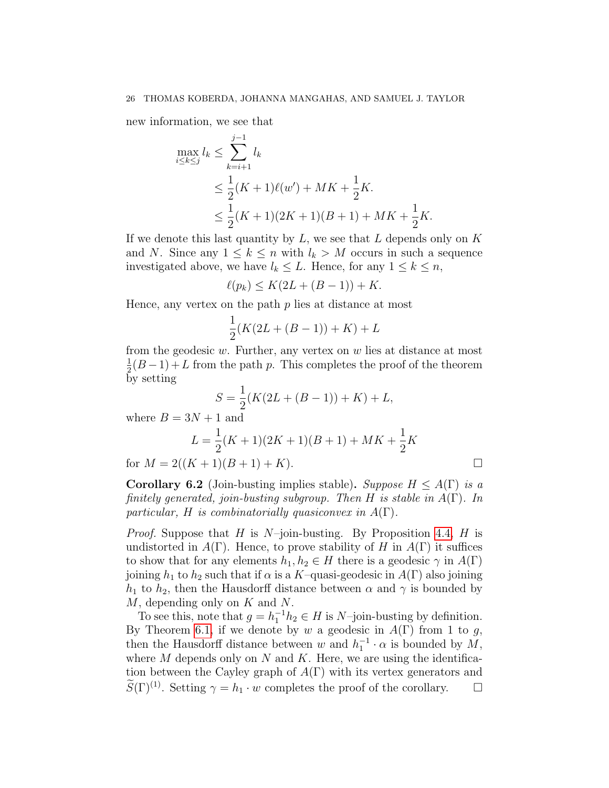new information, we see that

$$
\max_{i \le k \le j} l_k \le \sum_{k=i+1}^{j-1} l_k
$$
  
\n
$$
\le \frac{1}{2}(K+1)\ell(w') + MK + \frac{1}{2}K.
$$
  
\n
$$
\le \frac{1}{2}(K+1)(2K+1)(B+1) + MK + \frac{1}{2}K.
$$

If we denote this last quantity by  $L$ , we see that  $L$  depends only on  $K$ and N. Since any  $1 \leq k \leq n$  with  $l_k > M$  occurs in such a sequence investigated above, we have  $l_k \leq L$ . Hence, for any  $1 \leq k \leq n$ ,

$$
\ell(p_k) \le K(2L + (B-1)) + K.
$$

Hence, any vertex on the path  $p$  lies at distance at most

$$
\frac{1}{2}(K(2L + (B - 1)) + K) + L
$$

from the geodesic  $w$ . Further, any vertex on  $w$  lies at distance at most 1  $\frac{1}{2}(B-1) + L$  from the path p. This completes the proof of the theorem by setting

$$
S = \frac{1}{2}(K(2L + (B - 1)) + K) + L,
$$

where  $B = 3N + 1$  and

$$
L = \frac{1}{2}(K+1)(2K+1)(B+1) + MK + \frac{1}{2}K
$$
  
for  $M = 2((K+1)(B+1) + K)$ .

<span id="page-25-0"></span>**Corollary 6.2** (Join-busting implies stable). Suppose  $H \leq A(\Gamma)$  is a finitely generated, join-busting subgroup. Then H is stable in  $A(\Gamma)$ . In particular, H is combinatorially quasiconvex in  $A(\Gamma)$ .

*Proof.* Suppose that H is  $N$ -join-busting. By Proposition [4.4,](#page-19-2) H is undistorted in  $A(\Gamma)$ . Hence, to prove stability of H in  $A(\Gamma)$  it suffices to show that for any elements  $h_1, h_2 \in H$  there is a geodesic  $\gamma$  in  $A(\Gamma)$ joining  $h_1$  to  $h_2$  such that if  $\alpha$  is a K–quasi-geodesic in  $A(\Gamma)$  also joining  $h_1$  to  $h_2$ , then the Hausdorff distance between  $\alpha$  and  $\gamma$  is bounded by M, depending only on K and N.

To see this, note that  $g = h_1^{-1}h_2 \in H$  is N-join-busting by definition. By Theorem [6.1,](#page-22-1) if we denote by w a geodesic in  $A(\Gamma)$  from 1 to g, then the Hausdorff distance between w and  $h_1^{-1} \cdot \alpha$  is bounded by  $M$ , where  $M$  depends only on  $N$  and  $K$ . Here, we are using the identification between the Cayley graph of  $A(\Gamma)$  with its vertex generators and  $S(\Gamma)^{(1)}$ . Setting  $\gamma = h_1 \cdot w$  completes the proof of the corollary.  $\Box$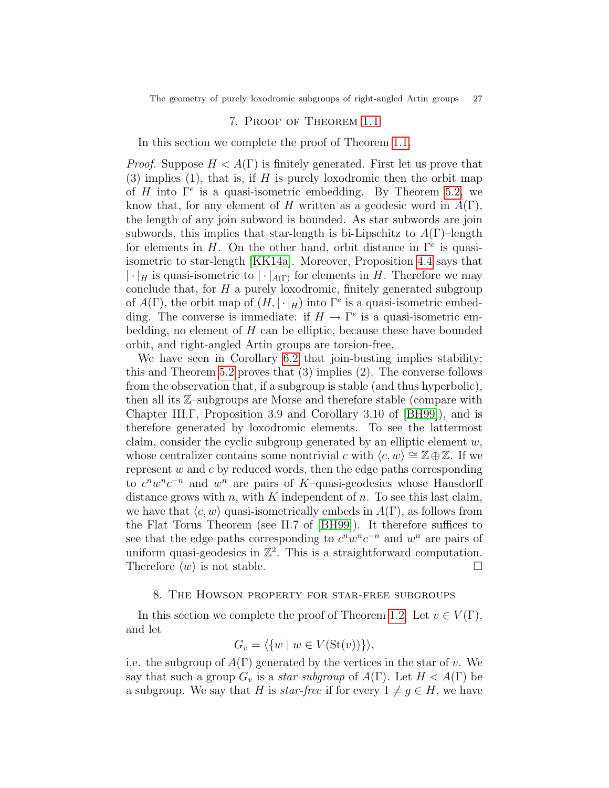The geometry of purely loxodromic subgroups of right-angled Artin groups 27

## 7. Proof of Theorem [1.1](#page-2-0)

<span id="page-26-1"></span>In this section we complete the proof of Theorem [1.1.](#page-2-0)

*Proof.* Suppose  $H < A(\Gamma)$  is finitely generated. First let us prove that  $(3)$  implies  $(1)$ , that is, if H is purely loxodromic then the orbit map of H into  $\Gamma^e$  is a quasi-isometric embedding. By Theorem [5.2,](#page-20-0) we know that, for any element of H written as a geodesic word in  $A(\Gamma)$ , the length of any join subword is bounded. As star subwords are join subwords, this implies that star-length is bi-Lipschitz to  $A(\Gamma)$ -length for elements in H. On the other hand, orbit distance in  $\Gamma^e$  is quasiisometric to star-length [\[KK14a\]](#page-37-7). Moreover, Proposition [4.4](#page-19-2) says that  $|\cdot|_H$  is quasi-isometric to  $|\cdot|_{A(\Gamma)}$  for elements in H. Therefore we may conclude that, for  $H$  a purely loxodromic, finitely generated subgroup of  $A(\Gamma)$ , the orbit map of  $(H, |\cdot|_H)$  into  $\Gamma^e$  is a quasi-isometric embedding. The converse is immediate: if  $H \to \Gamma^e$  is a quasi-isometric embedding, no element of  $H$  can be elliptic, because these have bounded orbit, and right-angled Artin groups are torsion-free.

We have seen in Corollary [6.2](#page-25-0) that join-busting implies stability; this and Theorem [5.2](#page-20-0) proves that (3) implies (2). The converse follows from the observation that, if a subgroup is stable (and thus hyperbolic), then all its Z–subgroups are Morse and therefore stable (compare with Chapter III.Γ, Proposition 3.9 and Corollary 3.10 of [\[BH99\]](#page-36-11)), and is therefore generated by loxodromic elements. To see the lattermost claim, consider the cyclic subgroup generated by an elliptic element  $w$ , whose centralizer contains some nontrivial c with  $\langle c, w \rangle \cong \mathbb{Z} \oplus \mathbb{Z}$ . If we represent  $w$  and  $c$  by reduced words, then the edge paths corresponding to  $c^n w^n c^{-n}$  and  $w^n$  are pairs of K-quasi-geodesics whose Hausdorff distance grows with  $n$ , with  $K$  independent of  $n$ . To see this last claim, we have that  $\langle c, w \rangle$  quasi-isometrically embeds in  $A(\Gamma)$ , as follows from the Flat Torus Theorem (see II.7 of [\[BH99\]](#page-36-11)). It therefore suffices to see that the edge paths corresponding to  $c^n w^n c^{-n}$  and  $w^n$  are pairs of uniform quasi-geodesics in  $\mathbb{Z}^2$ . This is a straightforward computation. Therefore  $\langle w \rangle$  is not stable.

#### 8. The Howson property for star-free subgroups

<span id="page-26-0"></span>In this section we complete the proof of Theorem [1.2.](#page-2-1) Let  $v \in V(\Gamma)$ , and let

$$
G_v = \langle \{ w \mid w \in V(\mathrm{St}(v)) \} \rangle,
$$

i.e. the subgroup of  $A(\Gamma)$  generated by the vertices in the star of v. We say that such a group  $G_v$  is a *star subgroup* of  $A(\Gamma)$ . Let  $H < A(\Gamma)$  be a subgroup. We say that H is *star-free* if for every  $1 \neq q \in H$ , we have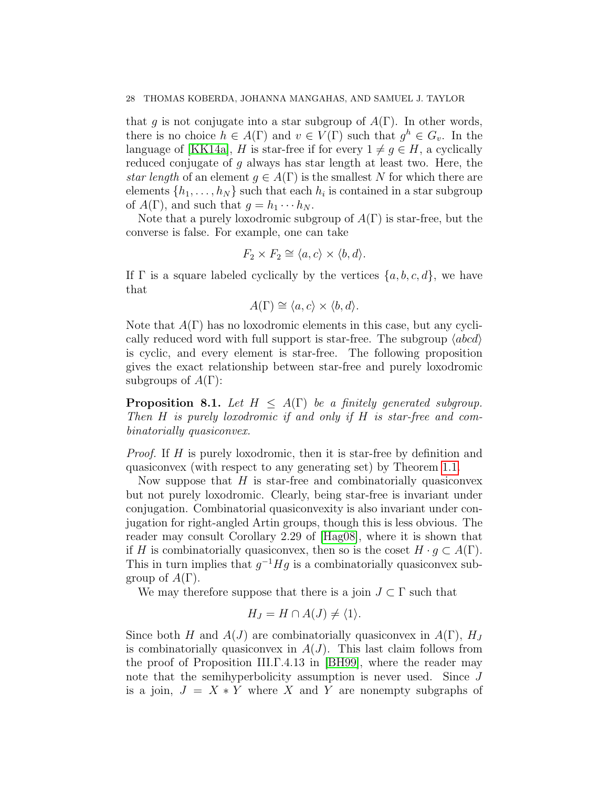that g is not conjugate into a star subgroup of  $A(\Gamma)$ . In other words, there is no choice  $h \in A(\Gamma)$  and  $v \in V(\Gamma)$  such that  $g^h \in G_v$ . In the language of [\[KK14a\]](#page-37-7), H is star-free if for every  $1 \neq g \in H$ , a cyclically reduced conjugate of g always has star length at least two. Here, the star length of an element  $q \in A(\Gamma)$  is the smallest N for which there are elements  $\{h_1, \ldots, h_N\}$  such that each  $h_i$  is contained in a star subgroup of  $A(\Gamma)$ , and such that  $g = h_1 \cdots h_N$ .

Note that a purely loxodromic subgroup of  $A(\Gamma)$  is star-free, but the converse is false. For example, one can take

$$
F_2 \times F_2 \cong \langle a, c \rangle \times \langle b, d \rangle.
$$

If  $\Gamma$  is a square labeled cyclically by the vertices  $\{a, b, c, d\}$ , we have that

$$
A(\Gamma) \cong \langle a, c \rangle \times \langle b, d \rangle.
$$

Note that  $A(\Gamma)$  has no loxodromic elements in this case, but any cyclically reduced word with full support is star-free. The subgroup  $\langle abcd \rangle$ is cyclic, and every element is star-free. The following proposition gives the exact relationship between star-free and purely loxodromic subgroups of  $A(\Gamma)$ :

**Proposition 8.1.** Let  $H \leq A(\Gamma)$  be a finitely generated subgroup. Then H is purely loxodromic if and only if H is star-free and combinatorially quasiconvex.

Proof. If H is purely loxodromic, then it is star-free by definition and quasiconvex (with respect to any generating set) by Theorem [1.1.](#page-2-0)

Now suppose that  $H$  is star-free and combinatorially quasiconvex but not purely loxodromic. Clearly, being star-free is invariant under conjugation. Combinatorial quasiconvexity is also invariant under conjugation for right-angled Artin groups, though this is less obvious. The reader may consult Corollary 2.29 of [\[Hag08\]](#page-37-19), where it is shown that if H is combinatorially quasiconvex, then so is the coset  $H \cdot g \subset A(\Gamma)$ . This in turn implies that  $g^{-1}Hg$  is a combinatorially quasiconvex subgroup of  $A(\Gamma)$ .

We may therefore suppose that there is a join  $J \subset \Gamma$  such that

$$
H_J = H \cap A(J) \neq \langle 1 \rangle.
$$

Since both H and  $A(J)$  are combinatorially quasiconvex in  $A(\Gamma)$ ,  $H_J$ is combinatorially quasiconvex in  $A(J)$ . This last claim follows from the proof of Proposition III.Γ.4.13 in [\[BH99\]](#page-36-11), where the reader may note that the semihyperbolicity assumption is never used. Since J is a join,  $J = X * Y$  where X and Y are nonempty subgraphs of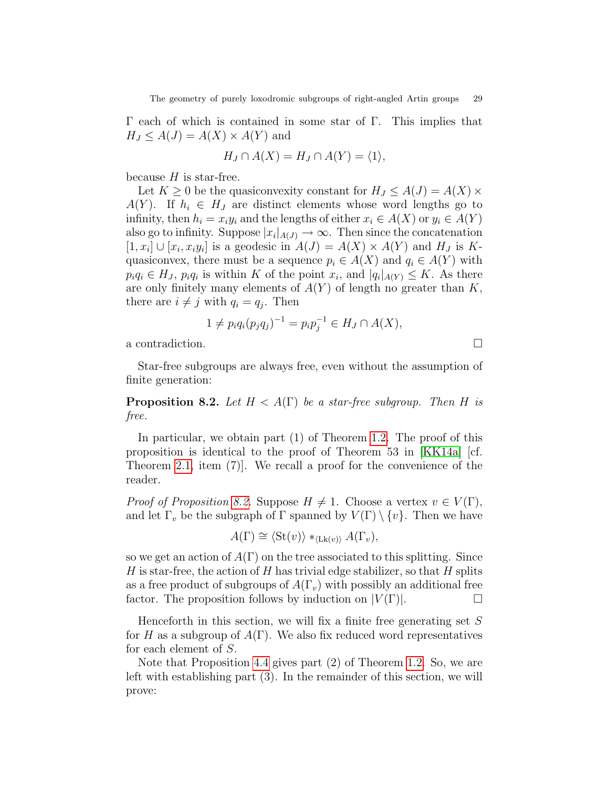Γ each of which is contained in some star of Γ. This implies that  $H_J \leq A(J) = A(X) \times A(Y)$  and

$$
H_J \cap A(X) = H_J \cap A(Y) = \langle 1 \rangle,
$$

because  $H$  is star-free.

Let  $K \geq 0$  be the quasiconvexity constant for  $H_J \leq A(J) = A(X) \times$  $A(Y)$ . If  $h_i \in H_J$  are distinct elements whose word lengths go to infinity, then  $h_i = x_i y_i$  and the lengths of either  $x_i \in A(X)$  or  $y_i \in A(Y)$ also go to infinity. Suppose  $|x_i|_{A(J)} \to \infty$ . Then since the concatenation  $[1, x_i] \cup [x_i, x_i y_i]$  is a geodesic in  $A(J) = A(X) \times A(Y)$  and  $H_J$  is Kquasiconvex, there must be a sequence  $p_i \in A(X)$  and  $q_i \in A(Y)$  with  $p_i q_i \in H_J$ ,  $p_i q_i$  is within K of the point  $x_i$ , and  $|q_i|_{A(Y)} \leq K$ . As there are only finitely many elements of  $A(Y)$  of length no greater than  $K$ , there are  $i \neq j$  with  $q_i = q_j$ . Then

$$
1 \neq p_i q_i (p_j q_j)^{-1} = p_i p_j^{-1} \in H_J \cap A(X),
$$

a contradiction.

Star-free subgroups are always free, even without the assumption of finite generation:

<span id="page-28-0"></span>**Proposition 8.2.** Let  $H < A(\Gamma)$  be a star-free subgroup. Then H is free.

In particular, we obtain part (1) of Theorem [1.2.](#page-2-1) The proof of this proposition is identical to the proof of Theorem 53 in [\[KK14a\]](#page-37-7) [cf. Theorem [2.1,](#page-9-1) item (7)]. We recall a proof for the convenience of the reader.

*Proof of Proposition [8.2.](#page-28-0)* Suppose  $H \neq 1$ . Choose a vertex  $v \in V(\Gamma)$ , and let  $\Gamma_v$  be the subgraph of  $\Gamma$  spanned by  $V(\Gamma) \setminus \{v\}$ . Then we have

$$
A(\Gamma) \cong \langle \text{St}(v) \rangle *_{\langle \text{Lk}(v) \rangle} A(\Gamma_v),
$$

so we get an action of  $A(\Gamma)$  on the tree associated to this splitting. Since H is star-free, the action of H has trivial edge stabilizer, so that H splits as a free product of subgroups of  $A(\Gamma_v)$  with possibly an additional free factor. The proposition follows by induction on  $|V(\Gamma)|$ .

Henceforth in this section, we will fix a finite free generating set  $S$ for H as a subgroup of  $A(\Gamma)$ . We also fix reduced word representatives for each element of S.

Note that Proposition [4.4](#page-19-2) gives part (2) of Theorem [1.2.](#page-2-1) So, we are left with establishing part (3). In the remainder of this section, we will prove: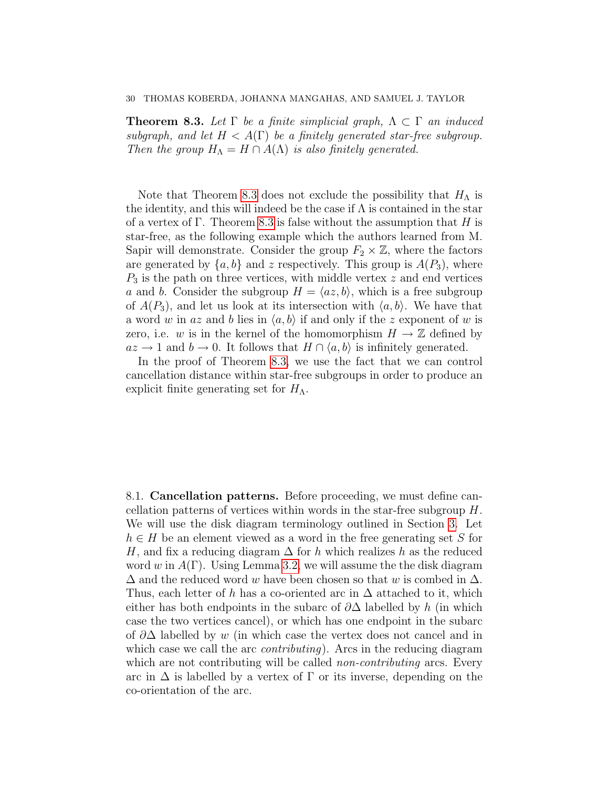<span id="page-29-0"></span>**Theorem 8.3.** Let  $\Gamma$  be a finite simplicial graph,  $\Lambda \subset \Gamma$  an induced subgraph, and let  $H < A(\Gamma)$  be a finitely generated star-free subgroup. Then the group  $H_{\Lambda} = H \cap A(\Lambda)$  is also finitely generated.

Note that Theorem [8.3](#page-29-0) does not exclude the possibility that  $H_{\Lambda}$  is the identity, and this will indeed be the case if  $\Lambda$  is contained in the star of a vertex of  $\Gamma$ . Theorem [8.3](#page-29-0) is false without the assumption that H is star-free, as the following example which the authors learned from M. Sapir will demonstrate. Consider the group  $F_2 \times \mathbb{Z}$ , where the factors are generated by  $\{a, b\}$  and z respectively. This group is  $A(P_3)$ , where  $P_3$  is the path on three vertices, with middle vertex z and end vertices a and b. Consider the subgroup  $H = \langle az, b \rangle$ , which is a free subgroup of  $A(P_3)$ , and let us look at its intersection with  $\langle a, b \rangle$ . We have that a word w in az and b lies in  $\langle a, b \rangle$  if and only if the z exponent of w is zero, i.e. w is in the kernel of the homomorphism  $H \to \mathbb{Z}$  defined by  $az \rightarrow 1$  and  $b \rightarrow 0$ . It follows that  $H \cap \langle a, b \rangle$  is infinitely generated.

In the proof of Theorem [8.3,](#page-29-0) we use the fact that we can control cancellation distance within star-free subgroups in order to produce an explicit finite generating set for  $H_{\Lambda}$ .

8.1. Cancellation patterns. Before proceeding, we must define cancellation patterns of vertices within words in the star-free subgroup H. We will use the disk diagram terminology outlined in Section [3.](#page-11-0) Let  $h \in H$  be an element viewed as a word in the free generating set S for H, and fix a reducing diagram  $\Delta$  for h which realizes h as the reduced word w in  $A(\Gamma)$ . Using Lemma [3.2,](#page-15-1) we will assume the the disk diagram  $\Delta$  and the reduced word w have been chosen so that w is combed in  $\Delta$ . Thus, each letter of h has a co-oriented arc in  $\Delta$  attached to it, which either has both endpoints in the subarc of  $\partial\Delta$  labelled by h (in which case the two vertices cancel), or which has one endpoint in the subarc of  $\partial\Delta$  labelled by w (in which case the vertex does not cancel and in which case we call the arc *contributing*). Arcs in the reducing diagram which are not contributing will be called *non-contributing* arcs. Every arc in  $\Delta$  is labelled by a vertex of  $\Gamma$  or its inverse, depending on the co-orientation of the arc.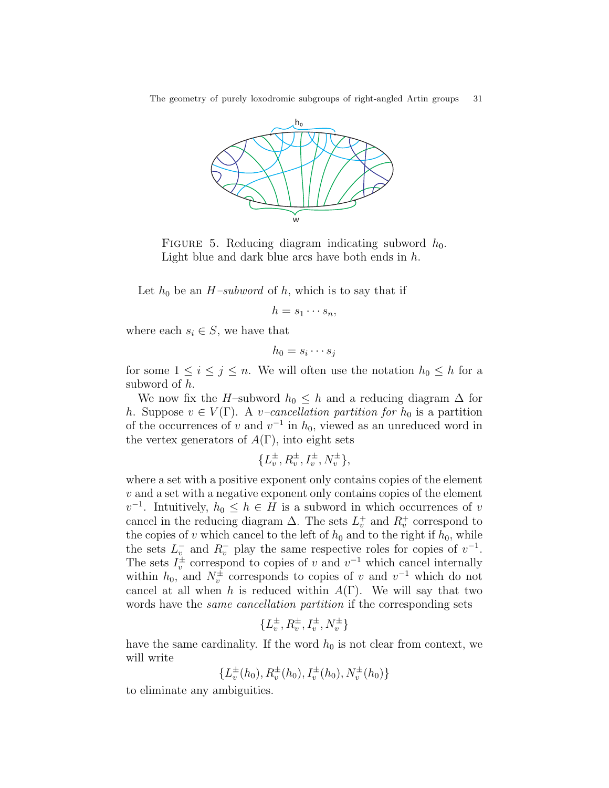The geometry of purely loxodromic subgroups of right-angled Artin groups 31



FIGURE 5. Reducing diagram indicating subword  $h_0$ . Light blue and dark blue arcs have both ends in  $h$ .

Let  $h_0$  be an  $H$ –subword of h, which is to say that if

$$
h=s_1\cdots s_n,
$$

where each  $s_i \in S$ , we have that

$$
h_0 = s_i \cdots s_j
$$

for some  $1 \leq i \leq j \leq n$ . We will often use the notation  $h_0 \leq h$  for a subword of h.

We now fix the H–subword  $h_0 \leq h$  and a reducing diagram  $\Delta$  for h. Suppose  $v \in V(\Gamma)$ . A *v*-cancellation partition for  $h_0$  is a partition of the occurrences of v and  $v^{-1}$  in  $h_0$ , viewed as an unreduced word in the vertex generators of  $A(\Gamma)$ , into eight sets

$$
\{L_v^\pm, R_v^\pm, I_v^\pm, N_v^\pm\},
$$

where a set with a positive exponent only contains copies of the element  $v$  and a set with a negative exponent only contains copies of the element  $v^{-1}$ . Intuitively,  $h_0 \leq h \in H$  is a subword in which occurrences of v cancel in the reducing diagram  $\Delta$ . The sets  $L_v^+$  and  $R_v^+$  correspond to the copies of v which cancel to the left of  $h_0$  and to the right if  $h_0$ , while the sets  $L_v^-$  and  $R_v^-$  play the same respective roles for copies of  $v^{-1}$ . The sets  $I_v^{\pm}$  correspond to copies of v and  $v^{-1}$  which cancel internally within  $h_0$ , and  $N_v^{\pm}$  corresponds to copies of v and  $v^{-1}$  which do not cancel at all when h is reduced within  $A(\Gamma)$ . We will say that two words have the *same cancellation partition* if the corresponding sets

$$
\{L_v^\pm, R_v^\pm, I_v^\pm, N_v^\pm\}
$$

have the same cardinality. If the word  $h_0$  is not clear from context, we will write

 $\{L_v^{\pm}(h_0), R_v^{\pm}(h_0), I_v^{\pm}(h_0), N_v^{\pm}(h_0)\}\$ 

to eliminate any ambiguities.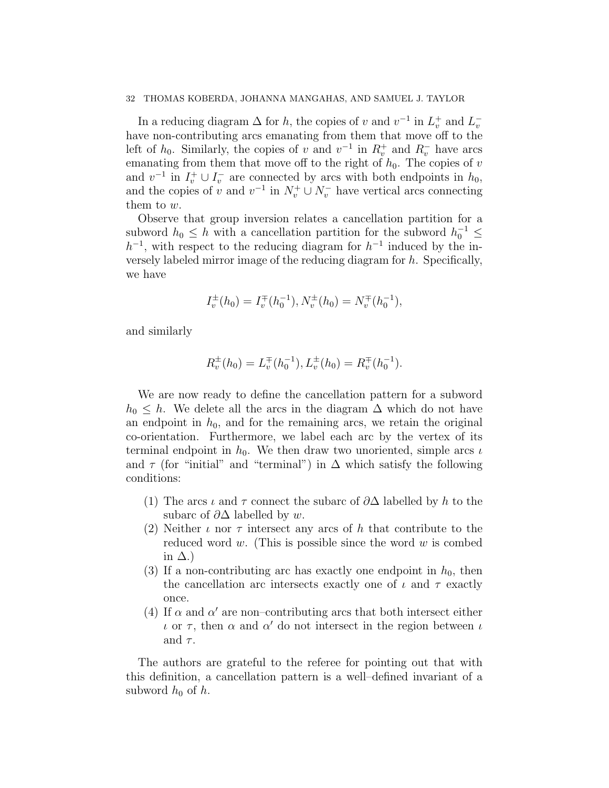In a reducing diagram  $\Delta$  for h, the copies of v and  $v^{-1}$  in  $L_v^+$  and  $L_v^$ have non-contributing arcs emanating from them that move off to the left of  $h_0$ . Similarly, the copies of v and  $v^{-1}$  in  $R_v^+$  and  $R_v^-$  have arcs emanating from them that move off to the right of  $h_0$ . The copies of v and  $v^{-1}$  in  $I_v^+ \cup I_v^-$  are connected by arcs with both endpoints in  $h_0$ , and the copies of v and  $v^{-1}$  in  $N_v^+ \cup N_v^-$  have vertical arcs connecting them to w.

Observe that group inversion relates a cancellation partition for a subword  $h_0 \leq h$  with a cancellation partition for the subword  $h_0^{-1} \leq$  $h^{-1}$ , with respect to the reducing diagram for  $h^{-1}$  induced by the inversely labeled mirror image of the reducing diagram for h. Specifically, we have

$$
I_v^{\pm}(h_0) = I_v^{\mp}(h_0^{-1}), N_v^{\pm}(h_0) = N_v^{\mp}(h_0^{-1}),
$$

and similarly

$$
R_v^{\pm}(h_0) = L_v^{\mp}(h_0^{-1}), L_v^{\pm}(h_0) = R_v^{\mp}(h_0^{-1}).
$$

We are now ready to define the cancellation pattern for a subword  $h_0 \leq h$ . We delete all the arcs in the diagram  $\Delta$  which do not have an endpoint in  $h_0$ , and for the remaining arcs, we retain the original co-orientation. Furthermore, we label each arc by the vertex of its terminal endpoint in  $h_0$ . We then draw two unoriented, simple arcs  $\iota$ and  $\tau$  (for "initial" and "terminal") in  $\Delta$  which satisfy the following conditions:

- (1) The arcs  $\iota$  and  $\tau$  connect the subarc of  $\partial\Delta$  labelled by h to the subarc of  $\partial\Delta$  labelled by w.
- (2) Neither  $\iota$  nor  $\tau$  intersect any arcs of h that contribute to the reduced word w. (This is possible since the word w is combed in  $\Delta$ .)
- (3) If a non-contributing arc has exactly one endpoint in  $h_0$ , then the cancellation arc intersects exactly one of  $\iota$  and  $\tau$  exactly once.
- (4) If  $\alpha$  and  $\alpha'$  are non-contributing arcs that both intersect either  $\iota$  or  $\tau$ , then  $\alpha$  and  $\alpha'$  do not intersect in the region between  $\iota$ and  $\tau$ .

The authors are grateful to the referee for pointing out that with this definition, a cancellation pattern is a well–defined invariant of a subword  $h_0$  of h.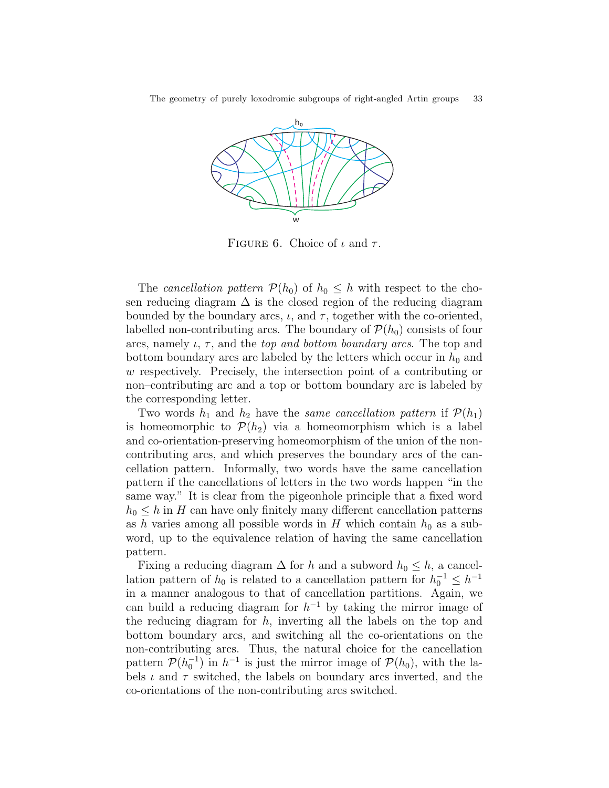The geometry of purely loxodromic subgroups of right-angled Artin groups 33



FIGURE 6. Choice of  $\iota$  and  $\tau$ .

The cancellation pattern  $\mathcal{P}(h_0)$  of  $h_0 \leq h$  with respect to the chosen reducing diagram  $\Delta$  is the closed region of the reducing diagram bounded by the boundary arcs,  $\iota$ , and  $\tau$ , together with the co-oriented, labelled non-contributing arcs. The boundary of  $\mathcal{P}(h_0)$  consists of four arcs, namely  $\iota$ ,  $\tau$ , and the *top and bottom boundary arcs*. The top and bottom boundary arcs are labeled by the letters which occur in  $h_0$  and w respectively. Precisely, the intersection point of a contributing or non–contributing arc and a top or bottom boundary arc is labeled by the corresponding letter.

Two words  $h_1$  and  $h_2$  have the same cancellation pattern if  $\mathcal{P}(h_1)$ is homeomorphic to  $\mathcal{P}(h_2)$  via a homeomorphism which is a label and co-orientation-preserving homeomorphism of the union of the noncontributing arcs, and which preserves the boundary arcs of the cancellation pattern. Informally, two words have the same cancellation pattern if the cancellations of letters in the two words happen "in the same way." It is clear from the pigeonhole principle that a fixed word  $h_0 \leq h$  in H can have only finitely many different cancellation patterns as h varies among all possible words in H which contain  $h_0$  as a subword, up to the equivalence relation of having the same cancellation pattern.

Fixing a reducing diagram  $\Delta$  for h and a subword  $h_0 \leq h$ , a cancellation pattern of  $h_0$  is related to a cancellation pattern for  $h_0^{-1} \leq h^{-1}$ in a manner analogous to that of cancellation partitions. Again, we can build a reducing diagram for  $h^{-1}$  by taking the mirror image of the reducing diagram for  $h$ , inverting all the labels on the top and bottom boundary arcs, and switching all the co-orientations on the non-contributing arcs. Thus, the natural choice for the cancellation pattern  $\mathcal{P}(h_0^{-1})$  in  $h^{-1}$  is just the mirror image of  $\mathcal{P}(h_0)$ , with the labels  $\iota$  and  $\tau$  switched, the labels on boundary arcs inverted, and the co-orientations of the non-contributing arcs switched.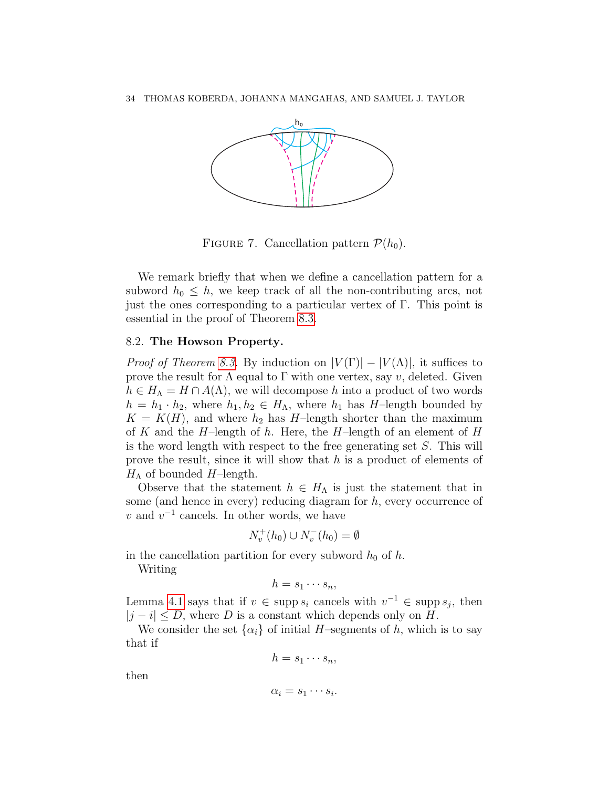

FIGURE 7. Cancellation pattern  $\mathcal{P}(h_0)$ .

We remark briefly that when we define a cancellation pattern for a subword  $h_0 \leq h$ , we keep track of all the non-contributing arcs, not just the ones corresponding to a particular vertex of Γ. This point is essential in the proof of Theorem [8.3.](#page-29-0)

## 8.2. The Howson Property.

*Proof of Theorem [8.3.](#page-29-0)* By induction on  $|V(\Gamma)| - |V(\Lambda)|$ , it suffices to prove the result for  $\Lambda$  equal to  $\Gamma$  with one vertex, say v, deleted. Given  $h \in H_{\Lambda} = H \cap A(\Lambda)$ , we will decompose h into a product of two words  $h = h_1 \cdot h_2$ , where  $h_1, h_2 \in H_\Lambda$ , where  $h_1$  has H-length bounded by  $K = K(H)$ , and where  $h_2$  has H-length shorter than the maximum of K and the H–length of h. Here, the H–length of an element of H is the word length with respect to the free generating set S. This will prove the result, since it will show that h is a product of elements of  $H_{\Lambda}$  of bounded H-length.

Observe that the statement  $h \in H_{\Lambda}$  is just the statement that in some (and hence in every) reducing diagram for  $h$ , every occurrence of v and  $v^{-1}$  cancels. In other words, we have

$$
N_v^+(h_0) \cup N_v^-(h_0) = \emptyset
$$

in the cancellation partition for every subword  $h_0$  of h.

Writing

$$
h=s_1\cdots s_n,
$$

Lemma [4.1](#page-18-0) says that if  $v \in \text{supp } s_i$  cancels with  $v^{-1} \in \text{supp } s_j$ , then  $|j - i| \leq D$ , where D is a constant which depends only on H.

We consider the set  $\{\alpha_i\}$  of initial H–segments of h, which is to say that if

 $h = s_1 \cdots s_n$ 

then

$$
\alpha_i = s_1 \cdots s_i.
$$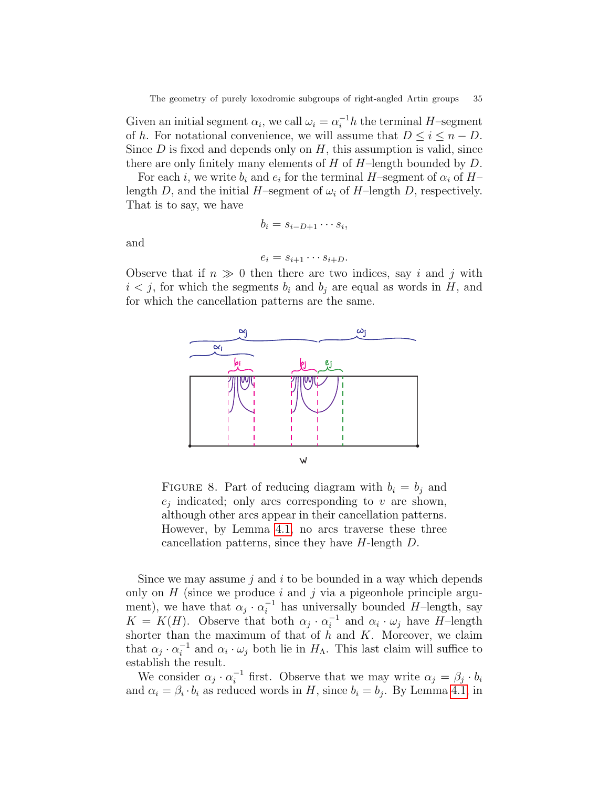Given an initial segment  $\alpha_i$ , we call  $\omega_i = \alpha_i^{-1}h$  the terminal H-segment of h. For notational convenience, we will assume that  $D \leq i \leq n - D$ . Since  $D$  is fixed and depends only on  $H$ , this assumption is valid, since there are only finitely many elements of  $H$  of  $H$ –length bounded by  $D$ .

For each *i*, we write  $b_i$  and  $e_i$  for the terminal H-segment of  $\alpha_i$  of Hlength D, and the initial H–segment of  $\omega_i$  of H–length D, respectively. That is to say, we have

$$
b_i = s_{i-D+1} \cdots s_i,
$$

and

$$
e_i = s_{i+1} \cdots s_{i+D}.
$$

Observe that if  $n \gg 0$  then there are two indices, say i and j with  $i < j$ , for which the segments  $b_i$  and  $b_j$  are equal as words in H, and for which the cancellation patterns are the same.



FIGURE 8. Part of reducing diagram with  $b_i = b_j$  and  $e_j$  indicated; only arcs corresponding to v are shown, although other arcs appear in their cancellation patterns. However, by Lemma [4.1,](#page-18-0) no arcs traverse these three cancellation patterns, since they have  $H$ -length  $D$ .

Since we may assume  $j$  and  $i$  to be bounded in a way which depends only on  $H$  (since we produce i and j via a pigeonhole principle argument), we have that  $\alpha_j \cdot \alpha_i^{-1}$  has universally bounded H-length, say  $K = K(H)$ . Observe that both  $\alpha_j \cdot \alpha_i^{-1}$  $i^{-1}$  and  $\alpha_i \cdot \omega_j$  have H-length shorter than the maximum of that of  $h$  and  $K$ . Moreover, we claim that  $\alpha_j \cdot \alpha_i^{-1}$  $i^{-1}$  and  $\alpha_i \cdot \omega_j$  both lie in  $H_{\Lambda}$ . This last claim will suffice to establish the result.

We consider  $\alpha_j \cdot \alpha_i^{-1}$  first. Observe that we may write  $\alpha_j = \beta_j \cdot b_i$ and  $\alpha_i = \beta_i \cdot b_i$  as reduced words in H, since  $b_i = b_j$ . By Lemma [4.1,](#page-18-0) in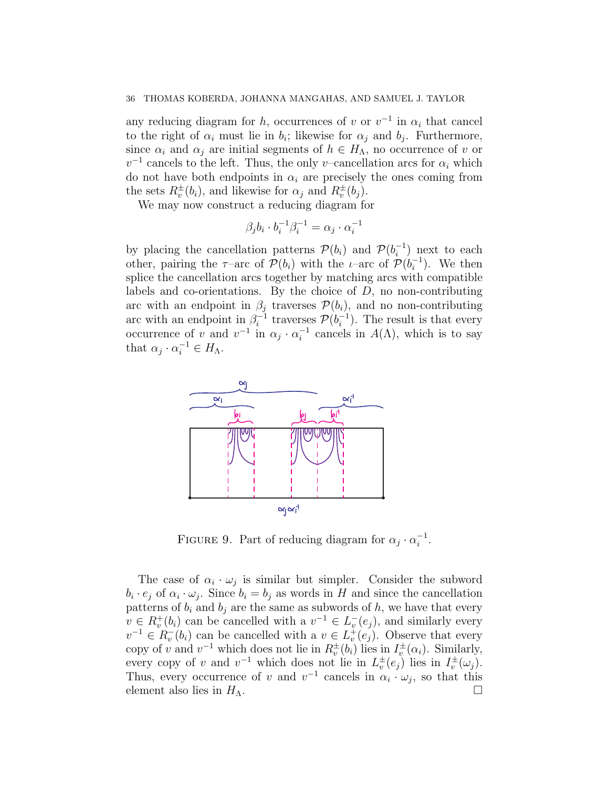any reducing diagram for h, occurrences of v or  $v^{-1}$  in  $\alpha_i$  that cancel to the right of  $\alpha_i$  must lie in  $b_i$ ; likewise for  $\alpha_j$  and  $b_j$ . Furthermore, since  $\alpha_i$  and  $\alpha_j$  are initial segments of  $h \in H_\Lambda$ , no occurrence of v or  $v^{-1}$  cancels to the left. Thus, the only v–cancellation arcs for  $\alpha_i$  which do not have both endpoints in  $\alpha_i$  are precisely the ones coming from the sets  $R_v^{\pm}(b_i)$ , and likewise for  $\alpha_j$  and  $R_v^{\pm}(b_j)$ .

We may now construct a reducing diagram for

$$
\beta_j b_i \cdot b_i^{-1} \beta_i^{-1} = \alpha_j \cdot \alpha_i^{-1}
$$

by placing the cancellation patterns  $\mathcal{P}(b_i)$  and  $\mathcal{P}(b_i^{-1})$  $\binom{-1}{i}$  next to each other, pairing the  $\tau$ -arc of  $\mathcal{P}(b_i)$  with the *i*-arc of  $\mathcal{P}(b_i^{-1})$  $i^{-1}$ ). We then splice the cancellation arcs together by matching arcs with compatible labels and co-orientations. By the choice of  $D$ , no non-contributing arc with an endpoint in  $\beta_j$  traverses  $\mathcal{P}(b_i)$ , and no non-contributing arc with an endpoint in  $\beta_i^{-1}$  $\mathcal{P}_i^{-1}$  traverses  $\mathcal{P}(b_i^{-1})$  $i^{-1}$ ). The result is that every occurrence of v and  $v^{-1}$  in  $\alpha_j \cdot \alpha_i^{-1}$  $i^{-1}$  cancels in  $A(\Lambda)$ , which is to say that  $\alpha_j \cdot \alpha_i^{-1} \in H_\Lambda$ .



FIGURE 9. Part of reducing diagram for  $\alpha_j \cdot \alpha_i^{-1}$  $\frac{-1}{i}$ .

The case of  $\alpha_i \cdot \omega_j$  is similar but simpler. Consider the subword  $b_i \cdot e_j$  of  $\alpha_i \cdot \omega_j$ . Since  $b_i = b_j$  as words in H and since the cancellation patterns of  $b_i$  and  $b_j$  are the same as subwords of h, we have that every  $v \in R_v^+(b_i)$  can be cancelled with a  $v^{-1} \in L_v^-(e_j)$ , and similarly every  $v^{-1} \in R_v^-(b_i)$  can be cancelled with a  $v \in L_v^+(e_j)$ . Observe that every copy of v and  $v^{-1}$  which does not lie in  $R_v^{\pm}(b_i)$  lies in  $I_v^{\pm}(\alpha_i)$ . Similarly, every copy of v and  $v^{-1}$  which does not lie in  $L_v^{\pm}(e_j)$  lies in  $I_v^{\pm}(\omega_j)$ . Thus, every occurrence of v and  $v^{-1}$  cancels in  $\alpha_i \cdot \omega_j$ , so that this element also lies in  $H_{\Lambda}$ .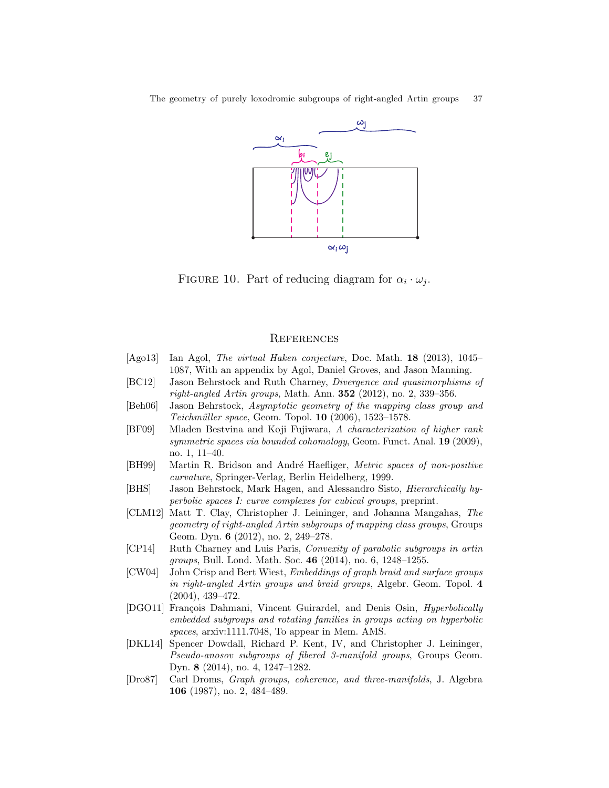The geometry of purely loxodromic subgroups of right-angled Artin groups 37



FIGURE 10. Part of reducing diagram for  $\alpha_i \cdot \omega_j$ .

### **REFERENCES**

- <span id="page-36-1"></span>[Ago13] Ian Agol, The virtual Haken conjecture, Doc. Math. 18 (2013), 1045– 1087, With an appendix by Agol, Daniel Groves, and Jason Manning.
- <span id="page-36-4"></span>[BC12] Jason Behrstock and Ruth Charney, Divergence and quasimorphisms of right-angled Artin groups, Math. Ann.  $352$  (2012), no. 2, 339–356.
- <span id="page-36-6"></span>[Beh06] Jason Behrstock, Asymptotic geometry of the mapping class group and  $Teichmüller space$ , Geom. Topol.  $10$  (2006), 1523–1578.
- <span id="page-36-5"></span>[BF09] Mladen Bestvina and Koji Fujiwara, A characterization of higher rank symmetric spaces via bounded cohomology, Geom. Funct. Anal. 19 (2009), no. 1, 11–40.
- <span id="page-36-11"></span>[BH99] Martin R. Bridson and André Haefliger, Metric spaces of non-positive curvature, Springer-Verlag, Berlin Heidelberg, 1999.
- <span id="page-36-10"></span>[BHS] Jason Behrstock, Mark Hagen, and Alessandro Sisto, Hierarchically hyperbolic spaces I: curve complexes for cubical groups, preprint.
- <span id="page-36-3"></span>[CLM12] Matt T. Clay, Christopher J. Leininger, and Johanna Mangahas, The geometry of right-angled Artin subgroups of mapping class groups, Groups Geom. Dyn. 6 (2012), no. 2, 249–278.
- <span id="page-36-8"></span>[CP14] Ruth Charney and Luis Paris, Convexity of parabolic subgroups in artin groups, Bull. Lond. Math. Soc. 46 (2014), no. 6, 1248-1255.
- <span id="page-36-2"></span>[CW04] John Crisp and Bert Wiest, Embeddings of graph braid and surface groups in right-angled Artin groups and braid groups, Algebr. Geom. Topol. 4 (2004), 439–472.
- <span id="page-36-9"></span>[DGO11] François Dahmani, Vincent Guirardel, and Denis Osin, *Hyperbolically* embedded subgroups and rotating families in groups acting on hyperbolic spaces, arxiv:1111.7048, To appear in Mem. AMS.
- <span id="page-36-7"></span>[DKL14] Spencer Dowdall, Richard P. Kent, IV, and Christopher J. Leininger, Pseudo-anosov subgroups of fibered 3-manifold groups, Groups Geom. Dyn. 8 (2014), no. 4, 1247–1282.
- <span id="page-36-0"></span>[Dro87] Carl Droms, Graph groups, coherence, and three-manifolds, J. Algebra 106 (1987), no. 2, 484–489.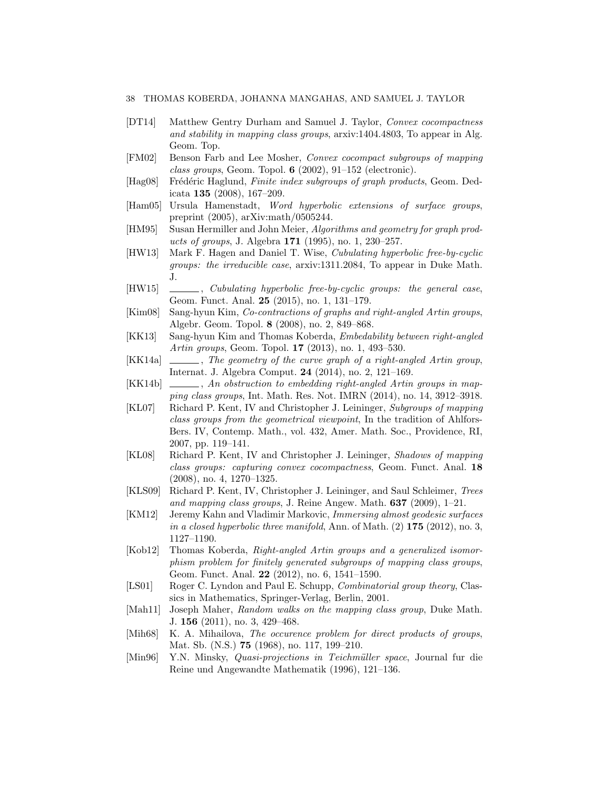- <span id="page-37-8"></span>[DT14] Matthew Gentry Durham and Samuel J. Taylor, Convex cocompactness and stability in mapping class groups, arxiv:1404.4803, To appear in Alg. Geom. Top.
- <span id="page-37-5"></span>[FM02] Benson Farb and Lee Mosher, Convex cocompact subgroups of mapping class groups, Geom. Topol.  $6$  (2002), 91-152 (electronic).
- <span id="page-37-19"></span>[Hag08] Frédéric Haglund, Finite index subgroups of graph products, Geom. Dedicata 135 (2008), 167–209.
- <span id="page-37-12"></span>[Ham05] Ursula Hamenstadt, Word hyperbolic extensions of surface groups, preprint (2005), arXiv:math/0505244.
- <span id="page-37-16"></span>[HM95] Susan Hermiller and John Meier, Algorithms and geometry for graph products of groups, J. Algebra  $171$  (1995), no. 1, 230–257.
- <span id="page-37-9"></span>[HW13] Mark F. Hagen and Daniel T. Wise, Cubulating hyperbolic free-by-cyclic groups: the irreducible case, arxiv:1311.2084, To appear in Duke Math. J.
- <span id="page-37-6"></span>[HW15] , Cubulating hyperbolic free-by-cyclic groups: the general case, Geom. Funct. Anal. 25 (2015), no. 1, 131–179.
- <span id="page-37-17"></span>[Kim08] Sang-hyun Kim, Co-contractions of graphs and right-angled Artin groups, Algebr. Geom. Topol. 8 (2008), no. 2, 849–868.
- <span id="page-37-3"></span>[KK13] Sang-hyun Kim and Thomas Koberda, Embedability between right-angled Artin groups, Geom. Topol. 17 (2013), no. 1, 493–530.
- <span id="page-37-7"></span>[KK14a]  $\qquad \qquad$ , The geometry of the curve graph of a right-angled Artin group, Internat. J. Algebra Comput. 24 (2014), no. 2, 121–169.
- <span id="page-37-4"></span>[KK14b]  $\Box$ , An obstruction to embedding right-angled Artin groups in mapping class groups, Int. Math. Res. Not. IMRN (2014), no. 14, 3912–3918.
- <span id="page-37-14"></span>[KL07] Richard P. Kent, IV and Christopher J. Leininger, Subgroups of mapping class groups from the geometrical viewpoint, In the tradition of Ahlfors-Bers. IV, Contemp. Math., vol. 432, Amer. Math. Soc., Providence, RI, 2007, pp. 119–141.
- <span id="page-37-13"></span>[KL08] Richard P. Kent, IV and Christopher J. Leininger, Shadows of mapping class groups: capturing convex cocompactness, Geom. Funct. Anal. 18 (2008), no. 4, 1270–1325.
- <span id="page-37-15"></span>[KLS09] Richard P. Kent, IV, Christopher J. Leininger, and Saul Schleimer, Trees and mapping class groups, J. Reine Angew. Math.  $637$  (2009), 1-21.
- <span id="page-37-1"></span>[KM12] Jeremy Kahn and Vladimir Markovic, Immersing almost geodesic surfaces in a closed hyperbolic three manifold, Ann. of Math.  $(2)$  175  $(2012)$ , no. 3, 1127–1190.
- <span id="page-37-2"></span>[Kob12] Thomas Koberda, Right-angled Artin groups and a generalized isomorphism problem for finitely generated subgroups of mapping class groups, Geom. Funct. Anal. 22 (2012), no. 6, 1541–1590.
- <span id="page-37-18"></span>[LS01] Roger C. Lyndon and Paul E. Schupp, *Combinatorial group theory*, Classics in Mathematics, Springer-Verlag, Berlin, 2001.
- <span id="page-37-10"></span>[Mah11] Joseph Maher, Random walks on the mapping class group, Duke Math. J. 156 (2011), no. 3, 429–468.
- <span id="page-37-0"></span>[Mih68] K. A. Mihailova, The occurence problem for direct products of groups, Mat. Sb. (N.S.) 75 (1968), no. 117, 199–210.
- <span id="page-37-11"></span>[Min96] Y.N. Minsky, *Quasi-projections in Teichmüller space*, Journal fur die Reine und Angewandte Mathematik (1996), 121–136.